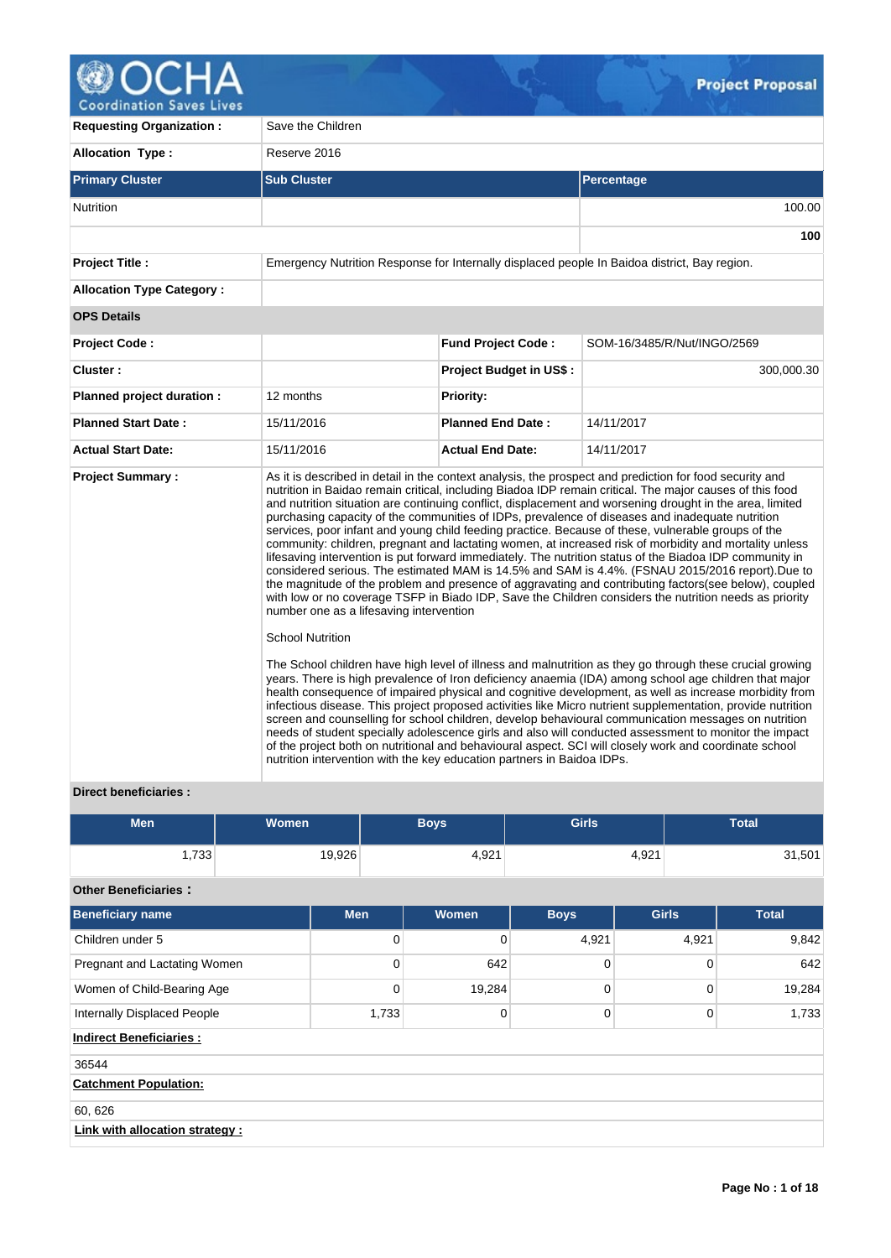

V.

| <b>Requesting Organization:</b>  | Save the Children                                                                                                                            |                                |                                                                                                                                                                                                                                                                                                                                                                                                                                                                                                                                                                                                                                                                                                                                                                                                                                                                                                                                                                                                                                                                                                                                                                                                                                                                                                                                                                                                                                                                                                                                                                                                                                                                                                                                                                                                                                                             |  |  |  |  |
|----------------------------------|----------------------------------------------------------------------------------------------------------------------------------------------|--------------------------------|-------------------------------------------------------------------------------------------------------------------------------------------------------------------------------------------------------------------------------------------------------------------------------------------------------------------------------------------------------------------------------------------------------------------------------------------------------------------------------------------------------------------------------------------------------------------------------------------------------------------------------------------------------------------------------------------------------------------------------------------------------------------------------------------------------------------------------------------------------------------------------------------------------------------------------------------------------------------------------------------------------------------------------------------------------------------------------------------------------------------------------------------------------------------------------------------------------------------------------------------------------------------------------------------------------------------------------------------------------------------------------------------------------------------------------------------------------------------------------------------------------------------------------------------------------------------------------------------------------------------------------------------------------------------------------------------------------------------------------------------------------------------------------------------------------------------------------------------------------------|--|--|--|--|
| <b>Allocation Type:</b>          | Reserve 2016                                                                                                                                 |                                |                                                                                                                                                                                                                                                                                                                                                                                                                                                                                                                                                                                                                                                                                                                                                                                                                                                                                                                                                                                                                                                                                                                                                                                                                                                                                                                                                                                                                                                                                                                                                                                                                                                                                                                                                                                                                                                             |  |  |  |  |
| <b>Primary Cluster</b>           | <b>Sub Cluster</b>                                                                                                                           |                                | Percentage                                                                                                                                                                                                                                                                                                                                                                                                                                                                                                                                                                                                                                                                                                                                                                                                                                                                                                                                                                                                                                                                                                                                                                                                                                                                                                                                                                                                                                                                                                                                                                                                                                                                                                                                                                                                                                                  |  |  |  |  |
| <b>Nutrition</b>                 |                                                                                                                                              |                                | 100.00                                                                                                                                                                                                                                                                                                                                                                                                                                                                                                                                                                                                                                                                                                                                                                                                                                                                                                                                                                                                                                                                                                                                                                                                                                                                                                                                                                                                                                                                                                                                                                                                                                                                                                                                                                                                                                                      |  |  |  |  |
|                                  |                                                                                                                                              |                                | 100                                                                                                                                                                                                                                                                                                                                                                                                                                                                                                                                                                                                                                                                                                                                                                                                                                                                                                                                                                                                                                                                                                                                                                                                                                                                                                                                                                                                                                                                                                                                                                                                                                                                                                                                                                                                                                                         |  |  |  |  |
| <b>Project Title:</b>            |                                                                                                                                              |                                | Emergency Nutrition Response for Internally displaced people In Baidoa district, Bay region.                                                                                                                                                                                                                                                                                                                                                                                                                                                                                                                                                                                                                                                                                                                                                                                                                                                                                                                                                                                                                                                                                                                                                                                                                                                                                                                                                                                                                                                                                                                                                                                                                                                                                                                                                                |  |  |  |  |
| <b>Allocation Type Category:</b> |                                                                                                                                              |                                |                                                                                                                                                                                                                                                                                                                                                                                                                                                                                                                                                                                                                                                                                                                                                                                                                                                                                                                                                                                                                                                                                                                                                                                                                                                                                                                                                                                                                                                                                                                                                                                                                                                                                                                                                                                                                                                             |  |  |  |  |
| <b>OPS Details</b>               |                                                                                                                                              |                                |                                                                                                                                                                                                                                                                                                                                                                                                                                                                                                                                                                                                                                                                                                                                                                                                                                                                                                                                                                                                                                                                                                                                                                                                                                                                                                                                                                                                                                                                                                                                                                                                                                                                                                                                                                                                                                                             |  |  |  |  |
| <b>Project Code:</b>             |                                                                                                                                              | <b>Fund Project Code:</b>      | SOM-16/3485/R/Nut/INGO/2569                                                                                                                                                                                                                                                                                                                                                                                                                                                                                                                                                                                                                                                                                                                                                                                                                                                                                                                                                                                                                                                                                                                                                                                                                                                                                                                                                                                                                                                                                                                                                                                                                                                                                                                                                                                                                                 |  |  |  |  |
| Cluster:                         |                                                                                                                                              | <b>Project Budget in US\$:</b> | 300,000.30                                                                                                                                                                                                                                                                                                                                                                                                                                                                                                                                                                                                                                                                                                                                                                                                                                                                                                                                                                                                                                                                                                                                                                                                                                                                                                                                                                                                                                                                                                                                                                                                                                                                                                                                                                                                                                                  |  |  |  |  |
| Planned project duration :       | 12 months                                                                                                                                    | <b>Priority:</b>               |                                                                                                                                                                                                                                                                                                                                                                                                                                                                                                                                                                                                                                                                                                                                                                                                                                                                                                                                                                                                                                                                                                                                                                                                                                                                                                                                                                                                                                                                                                                                                                                                                                                                                                                                                                                                                                                             |  |  |  |  |
| <b>Planned Start Date:</b>       | 15/11/2016                                                                                                                                   | <b>Planned End Date:</b>       | 14/11/2017                                                                                                                                                                                                                                                                                                                                                                                                                                                                                                                                                                                                                                                                                                                                                                                                                                                                                                                                                                                                                                                                                                                                                                                                                                                                                                                                                                                                                                                                                                                                                                                                                                                                                                                                                                                                                                                  |  |  |  |  |
| <b>Actual Start Date:</b>        | 15/11/2016                                                                                                                                   | <b>Actual End Date:</b>        | 14/11/2017                                                                                                                                                                                                                                                                                                                                                                                                                                                                                                                                                                                                                                                                                                                                                                                                                                                                                                                                                                                                                                                                                                                                                                                                                                                                                                                                                                                                                                                                                                                                                                                                                                                                                                                                                                                                                                                  |  |  |  |  |
| <b>Project Summary:</b>          | number one as a lifesaving intervention<br><b>School Nutrition</b><br>nutrition intervention with the key education partners in Baidoa IDPs. |                                | As it is described in detail in the context analysis, the prospect and prediction for food security and<br>nutrition in Baidao remain critical, including Biadoa IDP remain critical. The major causes of this food<br>and nutrition situation are continuing conflict, displacement and worsening drought in the area, limited<br>purchasing capacity of the communities of IDPs, prevalence of diseases and inadequate nutrition<br>services, poor infant and young child feeding practice. Because of these, vulnerable groups of the<br>community: children, pregnant and lactating women, at increased risk of morbidity and mortality unless<br>lifesaving intervention is put forward immediately. The nutrition status of the Biadoa IDP community in<br>considered serious. The estimated MAM is 14.5% and SAM is 4.4%. (FSNAU 2015/2016 report). Due to<br>the magnitude of the problem and presence of aggravating and contributing factors(see below), coupled<br>with low or no coverage TSFP in Biado IDP, Save the Children considers the nutrition needs as priority<br>The School children have high level of illness and malnutrition as they go through these crucial growing<br>years. There is high prevalence of Iron deficiency anaemia (IDA) among school age children that major<br>health consequence of impaired physical and cognitive development, as well as increase morbidity from<br>infectious disease. This project proposed activities like Micro nutrient supplementation, provide nutrition<br>screen and counselling for school children, develop behavioural communication messages on nutrition<br>needs of student specially adolescence girls and also will conducted assessment to monitor the impact<br>of the project both on nutritional and behavioural aspect. SCI will closely work and coordinate school |  |  |  |  |

## **Direct beneficiaries :**

| <b>Men</b>                         | <b>Women</b> | <b>Boys</b> |          | <b>Girls</b> |              |          |        |  |  |  | <b>Total</b> |  |       |
|------------------------------------|--------------|-------------|----------|--------------|--------------|----------|--------|--|--|--|--------------|--|-------|
| 1,733                              | 19,926       |             | 4,921    |              | 4,921        |          | 31,501 |  |  |  |              |  |       |
| <b>Other Beneficiaries:</b>        |              |             |          |              |              |          |        |  |  |  |              |  |       |
| <b>Beneficiary name</b>            |              | <b>Men</b>  | Women    | <b>Boys</b>  | <b>Girls</b> |          |        |  |  |  | <b>Total</b> |  |       |
| Children under 5                   |              | 0           | 0        | 4,921        |              |          |        |  |  |  | 4,921        |  | 9,842 |
| Pregnant and Lactating Women       |              | $\mathbf 0$ | 642      | $\mathbf 0$  | $\mathbf 0$  |          | 642    |  |  |  |              |  |       |
| Women of Child-Bearing Age         |              | 0           | 19,284   | 0            |              | $\Omega$ | 19,284 |  |  |  |              |  |       |
| <b>Internally Displaced People</b> |              | 1,733       | $\Omega$ | $\mathbf 0$  |              | $\Omega$ | 1,733  |  |  |  |              |  |       |
| <b>Indirect Beneficiaries:</b>     |              |             |          |              |              |          |        |  |  |  |              |  |       |
| 36544                              |              |             |          |              |              |          |        |  |  |  |              |  |       |
| <b>Catchment Population:</b>       |              |             |          |              |              |          |        |  |  |  |              |  |       |
| 60, 626                            |              |             |          |              |              |          |        |  |  |  |              |  |       |
| Link with allocation strategy :    |              |             |          |              |              |          |        |  |  |  |              |  |       |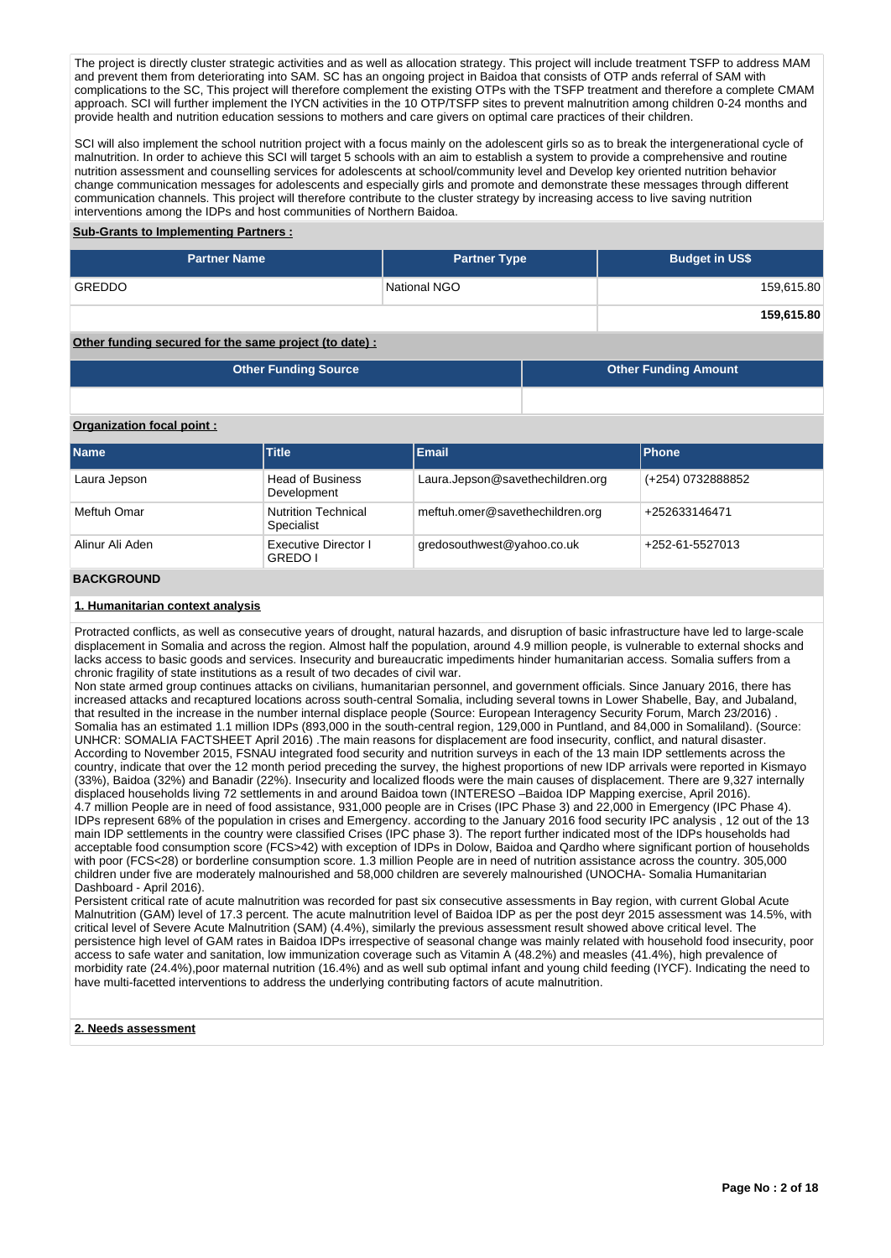The project is directly cluster strategic activities and as well as allocation strategy. This project will include treatment TSFP to address MAM and prevent them from deteriorating into SAM. SC has an ongoing project in Baidoa that consists of OTP ands referral of SAM with complications to the SC, This project will therefore complement the existing OTPs with the TSFP treatment and therefore a complete CMAM approach. SCI will further implement the IYCN activities in the 10 OTP/TSFP sites to prevent malnutrition among children 0-24 months and provide health and nutrition education sessions to mothers and care givers on optimal care practices of their children.

SCI will also implement the school nutrition project with a focus mainly on the adolescent girls so as to break the intergenerational cycle of malnutrition. In order to achieve this SCI will target 5 schools with an aim to establish a system to provide a comprehensive and routine nutrition assessment and counselling services for adolescents at school/community level and Develop key oriented nutrition behavior change communication messages for adolescents and especially girls and promote and demonstrate these messages through different communication channels. This project will therefore contribute to the cluster strategy by increasing access to live saving nutrition interventions among the IDPs and host communities of Northern Baidoa.

### **Sub-Grants to Implementing Partners :**

| <b>Partner Name</b> | <b>Partner Type</b> | <b>Budget in US\$</b> |
|---------------------|---------------------|-----------------------|
| <b>GREDDO</b>       | National NGO        | 159,615.80            |
|                     |                     | 159,615.80            |

### **Other funding secured for the same project (to date) :**

| <b>Other Funding Source</b> | Other Funding Amount |
|-----------------------------|----------------------|
|-----------------------------|----------------------|

### **Organization focal point :**

| <b>Name</b>     | <b>Title</b>                                                         | <b>Email</b>                     | <b>Phone</b>      |
|-----------------|----------------------------------------------------------------------|----------------------------------|-------------------|
| Laura Jepson    | <b>Head of Business</b><br>Development                               | Laura.Jepson@savethechildren.org | (+254) 0732888852 |
| Meftuh Omar     | <b>Nutrition Technical</b><br>Specialist                             | meftuh.omer@savethechildren.org  | +252633146471     |
| Alinur Ali Aden | <b>Executive Director I</b><br>gredosouthwest@yahoo.co.uk<br>GREDO I |                                  | +252-61-5527013   |
| 5.122521115     |                                                                      |                                  |                   |

### **BACKGROUND**

### **1. Humanitarian context analysis**

Protracted conflicts, as well as consecutive years of drought, natural hazards, and disruption of basic infrastructure have led to large-scale displacement in Somalia and across the region. Almost half the population, around 4.9 million people, is vulnerable to external shocks and lacks access to basic goods and services. Insecurity and bureaucratic impediments hinder humanitarian access. Somalia suffers from a chronic fragility of state institutions as a result of two decades of civil war.

Non state armed group continues attacks on civilians, humanitarian personnel, and government officials. Since January 2016, there has increased attacks and recaptured locations across south-central Somalia, including several towns in Lower Shabelle, Bay, and Jubaland, that resulted in the increase in the number internal displace people (Source: European Interagency Security Forum, March 23/2016) . Somalia has an estimated 1.1 million IDPs (893,000 in the south-central region, 129,000 in Puntland, and 84,000 in Somaliland). (Source: UNHCR: SOMALIA FACTSHEET April 2016) .The main reasons for displacement are food insecurity, conflict, and natural disaster. According to November 2015, FSNAU integrated food security and nutrition surveys in each of the 13 main IDP settlements across the country, indicate that over the 12 month period preceding the survey, the highest proportions of new IDP arrivals were reported in Kismayo (33%), Baidoa (32%) and Banadir (22%). Insecurity and localized floods were the main causes of displacement. There are 9,327 internally displaced households living 72 settlements in and around Baidoa town (INTERESO –Baidoa IDP Mapping exercise, April 2016). 4.7 million People are in need of food assistance, 931,000 people are in Crises (IPC Phase 3) and 22,000 in Emergency (IPC Phase 4). IDPs represent 68% of the population in crises and Emergency. according to the January 2016 food security IPC analysis , 12 out of the 13 main IDP settlements in the country were classified Crises (IPC phase 3). The report further indicated most of the IDPs households had acceptable food consumption score (FCS>42) with exception of IDPs in Dolow, Baidoa and Qardho where significant portion of households with poor (FCS<28) or borderline consumption score. 1.3 million People are in need of nutrition assistance across the country. 305,000 children under five are moderately malnourished and 58,000 children are severely malnourished (UNOCHA- Somalia Humanitarian Dashboard - April 2016).

Persistent critical rate of acute malnutrition was recorded for past six consecutive assessments in Bay region, with current Global Acute Malnutrition (GAM) level of 17.3 percent. The acute malnutrition level of Baidoa IDP as per the post deyr 2015 assessment was 14.5%, with critical level of Severe Acute Malnutrition (SAM) (4.4%), similarly the previous assessment result showed above critical level. The persistence high level of GAM rates in Baidoa IDPs irrespective of seasonal change was mainly related with household food insecurity, poor access to safe water and sanitation, low immunization coverage such as Vitamin A (48.2%) and measles (41.4%), high prevalence of morbidity rate (24.4%),poor maternal nutrition (16.4%) and as well sub optimal infant and young child feeding (IYCF). Indicating the need to have multi-facetted interventions to address the underlying contributing factors of acute malnutrition.

### **2. Needs assessment**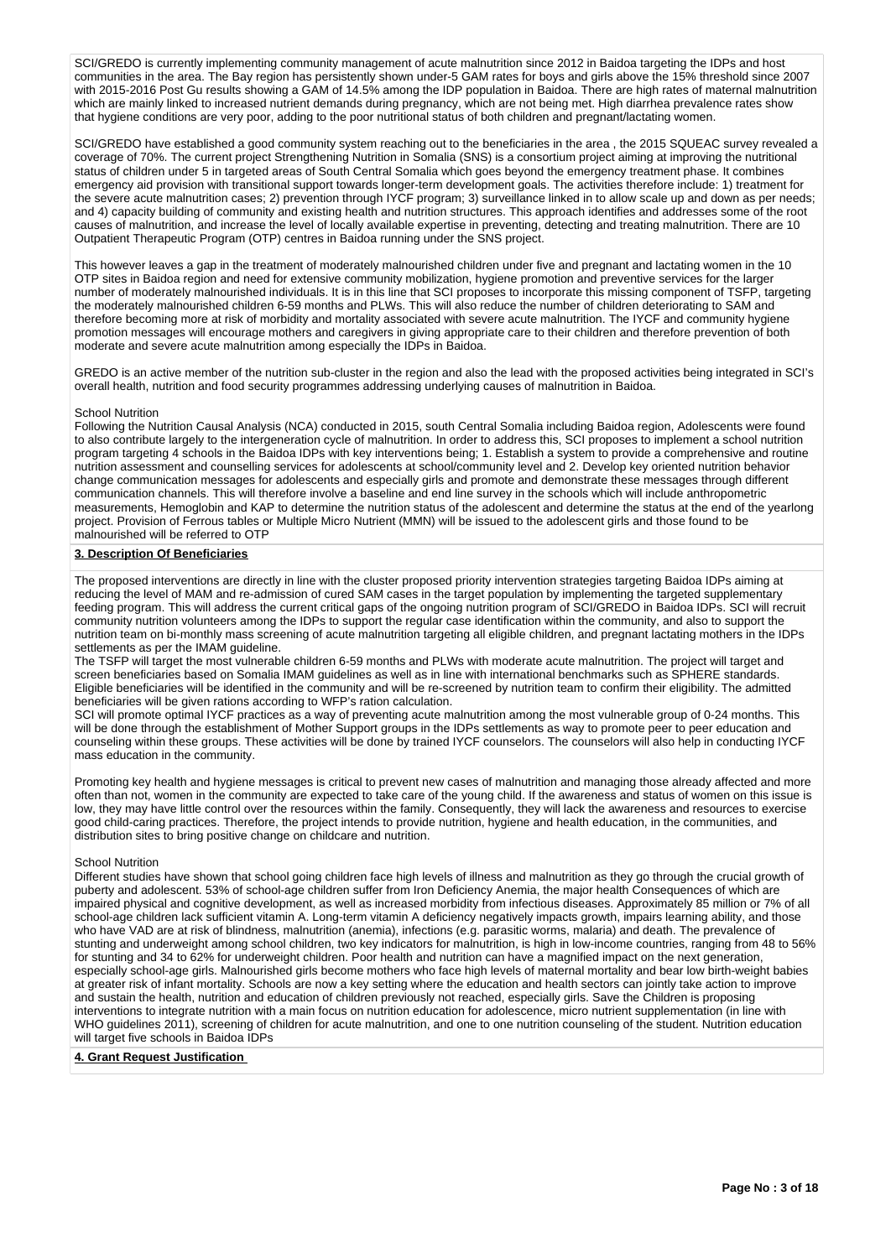SCI/GREDO is currently implementing community management of acute malnutrition since 2012 in Baidoa targeting the IDPs and host communities in the area. The Bay region has persistently shown under-5 GAM rates for boys and girls above the 15% threshold since 2007 with 2015-2016 Post Gu results showing a GAM of 14.5% among the IDP population in Baidoa. There are high rates of maternal malnutrition which are mainly linked to increased nutrient demands during pregnancy, which are not being met. High diarrhea prevalence rates show that hygiene conditions are very poor, adding to the poor nutritional status of both children and pregnant/lactating women.

SCI/GREDO have established a good community system reaching out to the beneficiaries in the area , the 2015 SQUEAC survey revealed a coverage of 70%. The current project Strengthening Nutrition in Somalia (SNS) is a consortium project aiming at improving the nutritional status of children under 5 in targeted areas of South Central Somalia which goes beyond the emergency treatment phase. It combines emergency aid provision with transitional support towards longer-term development goals. The activities therefore include: 1) treatment for the severe acute malnutrition cases; 2) prevention through IYCF program; 3) surveillance linked in to allow scale up and down as per needs; and 4) capacity building of community and existing health and nutrition structures. This approach identifies and addresses some of the root causes of malnutrition, and increase the level of locally available expertise in preventing, detecting and treating malnutrition. There are 10 Outpatient Therapeutic Program (OTP) centres in Baidoa running under the SNS project.

This however leaves a gap in the treatment of moderately malnourished children under five and pregnant and lactating women in the 10 OTP sites in Baidoa region and need for extensive community mobilization, hygiene promotion and preventive services for the larger number of moderately malnourished individuals. It is in this line that SCI proposes to incorporate this missing component of TSFP, targeting the moderately malnourished children 6-59 months and PLWs. This will also reduce the number of children deteriorating to SAM and therefore becoming more at risk of morbidity and mortality associated with severe acute malnutrition. The IYCF and community hygiene promotion messages will encourage mothers and caregivers in giving appropriate care to their children and therefore prevention of both moderate and severe acute malnutrition among especially the IDPs in Baidoa.

GREDO is an active member of the nutrition sub-cluster in the region and also the lead with the proposed activities being integrated in SCI's overall health, nutrition and food security programmes addressing underlying causes of malnutrition in Baidoa.

### School Nutrition

Following the Nutrition Causal Analysis (NCA) conducted in 2015, south Central Somalia including Baidoa region, Adolescents were found to also contribute largely to the intergeneration cycle of malnutrition. In order to address this, SCI proposes to implement a school nutrition program targeting 4 schools in the Baidoa IDPs with key interventions being; 1. Establish a system to provide a comprehensive and routine nutrition assessment and counselling services for adolescents at school/community level and 2. Develop key oriented nutrition behavior change communication messages for adolescents and especially girls and promote and demonstrate these messages through different communication channels. This will therefore involve a baseline and end line survey in the schools which will include anthropometric measurements, Hemoglobin and KAP to determine the nutrition status of the adolescent and determine the status at the end of the yearlong project. Provision of Ferrous tables or Multiple Micro Nutrient (MMN) will be issued to the adolescent girls and those found to be malnourished will be referred to OTP

### **3. Description Of Beneficiaries**

The proposed interventions are directly in line with the cluster proposed priority intervention strategies targeting Baidoa IDPs aiming at reducing the level of MAM and re-admission of cured SAM cases in the target population by implementing the targeted supplementary feeding program. This will address the current critical gaps of the ongoing nutrition program of SCI/GREDO in Baidoa IDPs. SCI will recruit community nutrition volunteers among the IDPs to support the regular case identification within the community, and also to support the nutrition team on bi-monthly mass screening of acute malnutrition targeting all eligible children, and pregnant lactating mothers in the IDPs settlements as per the IMAM guideline.

The TSFP will target the most vulnerable children 6-59 months and PLWs with moderate acute malnutrition. The project will target and screen beneficiaries based on Somalia IMAM guidelines as well as in line with international benchmarks such as SPHERE standards. Eligible beneficiaries will be identified in the community and will be re-screened by nutrition team to confirm their eligibility. The admitted beneficiaries will be given rations according to WFP's ration calculation.

SCI will promote optimal IYCF practices as a way of preventing acute malnutrition among the most vulnerable group of 0-24 months. This will be done through the establishment of Mother Support groups in the IDPs settlements as way to promote peer to peer education and counseling within these groups. These activities will be done by trained IYCF counselors. The counselors will also help in conducting IYCF mass education in the community.

Promoting key health and hygiene messages is critical to prevent new cases of malnutrition and managing those already affected and more often than not, women in the community are expected to take care of the young child. If the awareness and status of women on this issue is low, they may have little control over the resources within the family. Consequently, they will lack the awareness and resources to exercise good child-caring practices. Therefore, the project intends to provide nutrition, hygiene and health education, in the communities, and distribution sites to bring positive change on childcare and nutrition.

#### School Nutrition

Different studies have shown that school going children face high levels of illness and malnutrition as they go through the crucial growth of puberty and adolescent. 53% of school-age children suffer from Iron Deficiency Anemia, the major health Consequences of which are impaired physical and cognitive development, as well as increased morbidity from infectious diseases. Approximately 85 million or 7% of all school-age children lack sufficient vitamin A. Long-term vitamin A deficiency negatively impacts growth, impairs learning ability, and those who have VAD are at risk of blindness, malnutrition (anemia), infections (e.g. parasitic worms, malaria) and death. The prevalence of stunting and underweight among school children, two key indicators for malnutrition, is high in low-income countries, ranging from 48 to 56% for stunting and 34 to 62% for underweight children. Poor health and nutrition can have a magnified impact on the next generation, especially school-age girls. Malnourished girls become mothers who face high levels of maternal mortality and bear low birth-weight babies at greater risk of infant mortality. Schools are now a key setting where the education and health sectors can jointly take action to improve and sustain the health, nutrition and education of children previously not reached, especially girls. Save the Children is proposing interventions to integrate nutrition with a main focus on nutrition education for adolescence, micro nutrient supplementation (in line with WHO guidelines 2011), screening of children for acute malnutrition, and one to one nutrition counseling of the student. Nutrition education will target five schools in Baidoa IDPs

### **4. Grant Request Justification**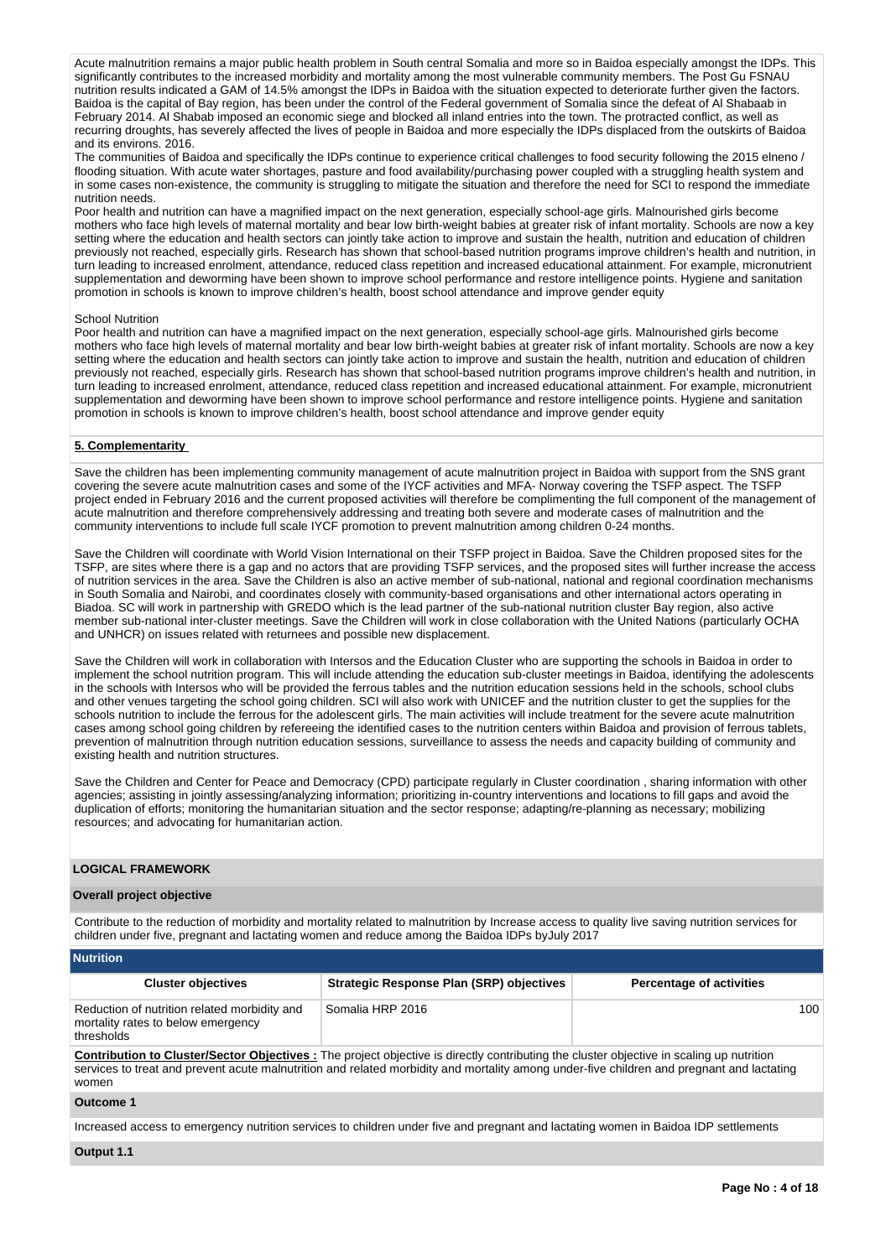Acute malnutrition remains a major public health problem in South central Somalia and more so in Baidoa especially amongst the IDPs. This significantly contributes to the increased morbidity and mortality among the most vulnerable community members. The Post Gu FSNAU nutrition results indicated a GAM of 14.5% amongst the IDPs in Baidoa with the situation expected to deteriorate further given the factors. Baidoa is the capital of Bay region, has been under the control of the Federal government of Somalia since the defeat of Al Shabaab in February 2014. Al Shabab imposed an economic siege and blocked all inland entries into the town. The protracted conflict, as well as recurring droughts, has severely affected the lives of people in Baidoa and more especially the IDPs displaced from the outskirts of Baidoa and its environs. 2016.

The communities of Baidoa and specifically the IDPs continue to experience critical challenges to food security following the 2015 elneno / flooding situation. With acute water shortages, pasture and food availability/purchasing power coupled with a struggling health system and in some cases non-existence, the community is struggling to mitigate the situation and therefore the need for SCI to respond the immediate nutrition needs.

Poor health and nutrition can have a magnified impact on the next generation, especially school-age girls. Malnourished girls become mothers who face high levels of maternal mortality and bear low birth-weight babies at greater risk of infant mortality. Schools are now a key setting where the education and health sectors can jointly take action to improve and sustain the health, nutrition and education of children previously not reached, especially girls. Research has shown that school-based nutrition programs improve children's health and nutrition, in turn leading to increased enrolment, attendance, reduced class repetition and increased educational attainment. For example, micronutrient supplementation and deworming have been shown to improve school performance and restore intelligence points. Hygiene and sanitation promotion in schools is known to improve children's health, boost school attendance and improve gender equity

#### School Nutrition

Poor health and nutrition can have a magnified impact on the next generation, especially school-age girls. Malnourished girls become mothers who face high levels of maternal mortality and bear low birth-weight babies at greater risk of infant mortality. Schools are now a key setting where the education and health sectors can jointly take action to improve and sustain the health, nutrition and education of children previously not reached, especially girls. Research has shown that school-based nutrition programs improve children's health and nutrition, in turn leading to increased enrolment, attendance, reduced class repetition and increased educational attainment. For example, micronutrient supplementation and deworming have been shown to improve school performance and restore intelligence points. Hygiene and sanitation promotion in schools is known to improve children's health, boost school attendance and improve gender equity

### **5. Complementarity**

Save the children has been implementing community management of acute malnutrition project in Baidoa with support from the SNS grant covering the severe acute malnutrition cases and some of the IYCF activities and MFA- Norway covering the TSFP aspect. The TSFP project ended in February 2016 and the current proposed activities will therefore be complimenting the full component of the management of acute malnutrition and therefore comprehensively addressing and treating both severe and moderate cases of malnutrition and the community interventions to include full scale IYCF promotion to prevent malnutrition among children 0-24 months.

Save the Children will coordinate with World Vision International on their TSFP project in Baidoa. Save the Children proposed sites for the TSFP, are sites where there is a gap and no actors that are providing TSFP services, and the proposed sites will further increase the access of nutrition services in the area. Save the Children is also an active member of sub-national, national and regional coordination mechanisms in South Somalia and Nairobi, and coordinates closely with community-based organisations and other international actors operating in Biadoa. SC will work in partnership with GREDO which is the lead partner of the sub-national nutrition cluster Bay region, also active member sub-national inter-cluster meetings. Save the Children will work in close collaboration with the United Nations (particularly OCHA and UNHCR) on issues related with returnees and possible new displacement.

Save the Children will work in collaboration with Intersos and the Education Cluster who are supporting the schools in Baidoa in order to implement the school nutrition program. This will include attending the education sub-cluster meetings in Baidoa, identifying the adolescents in the schools with Intersos who will be provided the ferrous tables and the nutrition education sessions held in the schools, school clubs and other venues targeting the school going children. SCI will also work with UNICEF and the nutrition cluster to get the supplies for the schools nutrition to include the ferrous for the adolescent girls. The main activities will include treatment for the severe acute malnutrition cases among school going children by refereeing the identified cases to the nutrition centers within Baidoa and provision of ferrous tablets, prevention of malnutrition through nutrition education sessions, surveillance to assess the needs and capacity building of community and existing health and nutrition structures.

Save the Children and Center for Peace and Democracy (CPD) participate regularly in Cluster coordination , sharing information with other agencies; assisting in jointly assessing/analyzing information; prioritizing in-country interventions and locations to fill gaps and avoid the duplication of efforts; monitoring the humanitarian situation and the sector response; adapting/re-planning as necessary; mobilizing resources; and advocating for humanitarian action.

### **LOGICAL FRAMEWORK**

#### **Overall project objective**

Contribute to the reduction of morbidity and mortality related to malnutrition by Increase access to quality live saving nutrition services for children under five, pregnant and lactating women and reduce among the Baidoa IDPs byJuly 2017

| <b>Nutrition</b>                                                                                 |                                                                                                                                                                                                                                                                                             |                                 |  |  |  |  |  |  |  |  |  |
|--------------------------------------------------------------------------------------------------|---------------------------------------------------------------------------------------------------------------------------------------------------------------------------------------------------------------------------------------------------------------------------------------------|---------------------------------|--|--|--|--|--|--|--|--|--|
| <b>Cluster objectives</b>                                                                        | <b>Strategic Response Plan (SRP) objectives</b>                                                                                                                                                                                                                                             | <b>Percentage of activities</b> |  |  |  |  |  |  |  |  |  |
| Reduction of nutrition related morbidity and<br>mortality rates to below emergency<br>thresholds | Somalia HRP 2016                                                                                                                                                                                                                                                                            | 100                             |  |  |  |  |  |  |  |  |  |
| <b>WOMAN</b>                                                                                     | <b>Contribution to Cluster/Sector Objectives:</b> The project objective is directly contributing the cluster objective in scaling up nutrition<br>services to treat and prevent acute malnutrition and related morbidity and mortality among under-five children and pregnant and lactating |                                 |  |  |  |  |  |  |  |  |  |

#### **Outcome 1**

Increased access to emergency nutrition services to children under five and pregnant and lactating women in Baidoa IDP settlements

**Output 1.1**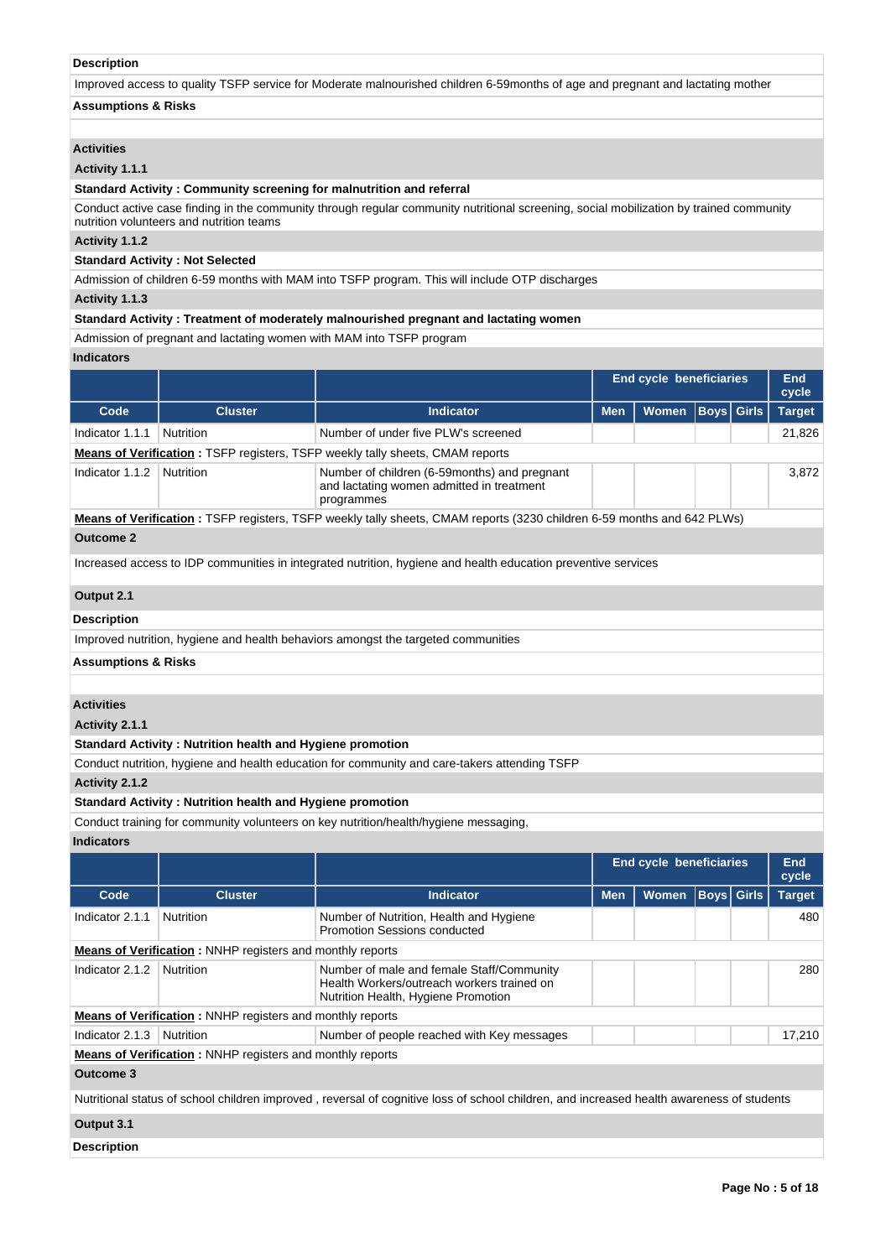### **Description**

Improved access to quality TSFP service for Moderate malnourished children 6-59months of age and pregnant and lactating mother

## **Assumptions & Risks**

## **Activities**

# **Activity 1.1.1**

**Standard Activity : Community screening for malnutrition and referral**

Conduct active case finding in the community through regular community nutritional screening, social mobilization by trained community nutrition volunteers and nutrition teams

### **Activity 1.1.2**

**Standard Activity : Not Selected**

Admission of children 6-59 months with MAM into TSFP program. This will include OTP discharges

### **Activity 1.1.3**

**Standard Activity : Treatment of moderately malnourished pregnant and lactating women**

Admission of pregnant and lactating women with MAM into TSFP program

## **Indicators**

|                                |                                                           |                                                                                                                        | End cycle beneficiaries | <b>End</b><br>cycle |                   |               |  |  |  |
|--------------------------------|-----------------------------------------------------------|------------------------------------------------------------------------------------------------------------------------|-------------------------|---------------------|-------------------|---------------|--|--|--|
| Code                           | <b>Cluster</b>                                            | <b>Indicator</b>                                                                                                       | <b>Men</b>              | <b>Women</b>        | <b>Boys</b> Girls | <b>Target</b> |  |  |  |
| Indicator 1.1.1                | Nutrition                                                 | Number of under five PLW's screened                                                                                    |                         |                     |                   | 21,826        |  |  |  |
|                                |                                                           | <b>Means of Verification: TSFP registers, TSFP weekly tally sheets, CMAM reports</b>                                   |                         |                     |                   |               |  |  |  |
| Indicator 1.1.2                | Nutrition                                                 | Number of children (6-59 months) and pregnant<br>and lactating women admitted in treatment<br>programmes               |                         |                     |                   | 3,872         |  |  |  |
|                                |                                                           | Means of Verification: TSFP registers, TSFP weekly tally sheets, CMAM reports (3230 children 6-59 months and 642 PLWs) |                         |                     |                   |               |  |  |  |
| <b>Outcome 2</b>               |                                                           |                                                                                                                        |                         |                     |                   |               |  |  |  |
|                                |                                                           | Increased access to IDP communities in integrated nutrition, hygiene and health education preventive services          |                         |                     |                   |               |  |  |  |
| Output 2.1                     |                                                           |                                                                                                                        |                         |                     |                   |               |  |  |  |
| <b>Description</b>             |                                                           |                                                                                                                        |                         |                     |                   |               |  |  |  |
|                                |                                                           | Improved nutrition, hygiene and health behaviors amongst the targeted communities                                      |                         |                     |                   |               |  |  |  |
| <b>Assumptions &amp; Risks</b> |                                                           |                                                                                                                        |                         |                     |                   |               |  |  |  |
|                                |                                                           |                                                                                                                        |                         |                     |                   |               |  |  |  |
| <b>Activities</b>              |                                                           |                                                                                                                        |                         |                     |                   |               |  |  |  |
| Activity 2.1.1                 |                                                           |                                                                                                                        |                         |                     |                   |               |  |  |  |
|                                | Standard Activity: Nutrition health and Hygiene promotion |                                                                                                                        |                         |                     |                   |               |  |  |  |
|                                |                                                           | Conduct nutrition, hygiene and health education for community and care-takers attending TSFP                           |                         |                     |                   |               |  |  |  |
| Activity 2.1.2                 |                                                           |                                                                                                                        |                         |                     |                   |               |  |  |  |
|                                | Standard Activity: Nutrition health and Hygiene promotion |                                                                                                                        |                         |                     |                   |               |  |  |  |

Conduct training for community volunteers on key nutrition/health/hygiene messaging,

# **Indicators**

|                    |                                                                  |                                                                                                                                           | <b>End cycle beneficiaries</b> | <b>End</b><br>cycle |               |  |        |  |  |  |
|--------------------|------------------------------------------------------------------|-------------------------------------------------------------------------------------------------------------------------------------------|--------------------------------|---------------------|---------------|--|--------|--|--|--|
| Code               | <b>Cluster</b>                                                   | <b>Indicator</b>                                                                                                                          | <b>Men</b>                     | <b>Boys</b> Girls   | <b>Target</b> |  |        |  |  |  |
| Indicator 2.1.1    | <b>Nutrition</b>                                                 | Number of Nutrition, Health and Hygiene<br>Promotion Sessions conducted                                                                   |                                |                     |               |  | 480    |  |  |  |
|                    | <b>Means of Verification:</b> NNHP registers and monthly reports |                                                                                                                                           |                                |                     |               |  |        |  |  |  |
| Indicator 2.1.2    | <b>Nutrition</b>                                                 | Number of male and female Staff/Community<br>Health Workers/outreach workers trained on<br>Nutrition Health, Hygiene Promotion            |                                |                     |               |  | 280    |  |  |  |
|                    | <b>Means of Verification:</b> NNHP registers and monthly reports |                                                                                                                                           |                                |                     |               |  |        |  |  |  |
| Indicator 2.1.3    | <b>Nutrition</b>                                                 | Number of people reached with Key messages                                                                                                |                                |                     |               |  | 17,210 |  |  |  |
|                    | <b>Means of Verification:</b> NNHP registers and monthly reports |                                                                                                                                           |                                |                     |               |  |        |  |  |  |
| Outcome 3          |                                                                  |                                                                                                                                           |                                |                     |               |  |        |  |  |  |
|                    |                                                                  | Nutritional status of school children improved, reversal of cognitive loss of school children, and increased health awareness of students |                                |                     |               |  |        |  |  |  |
| Output 3.1         |                                                                  |                                                                                                                                           |                                |                     |               |  |        |  |  |  |
| <b>Description</b> |                                                                  |                                                                                                                                           |                                |                     |               |  |        |  |  |  |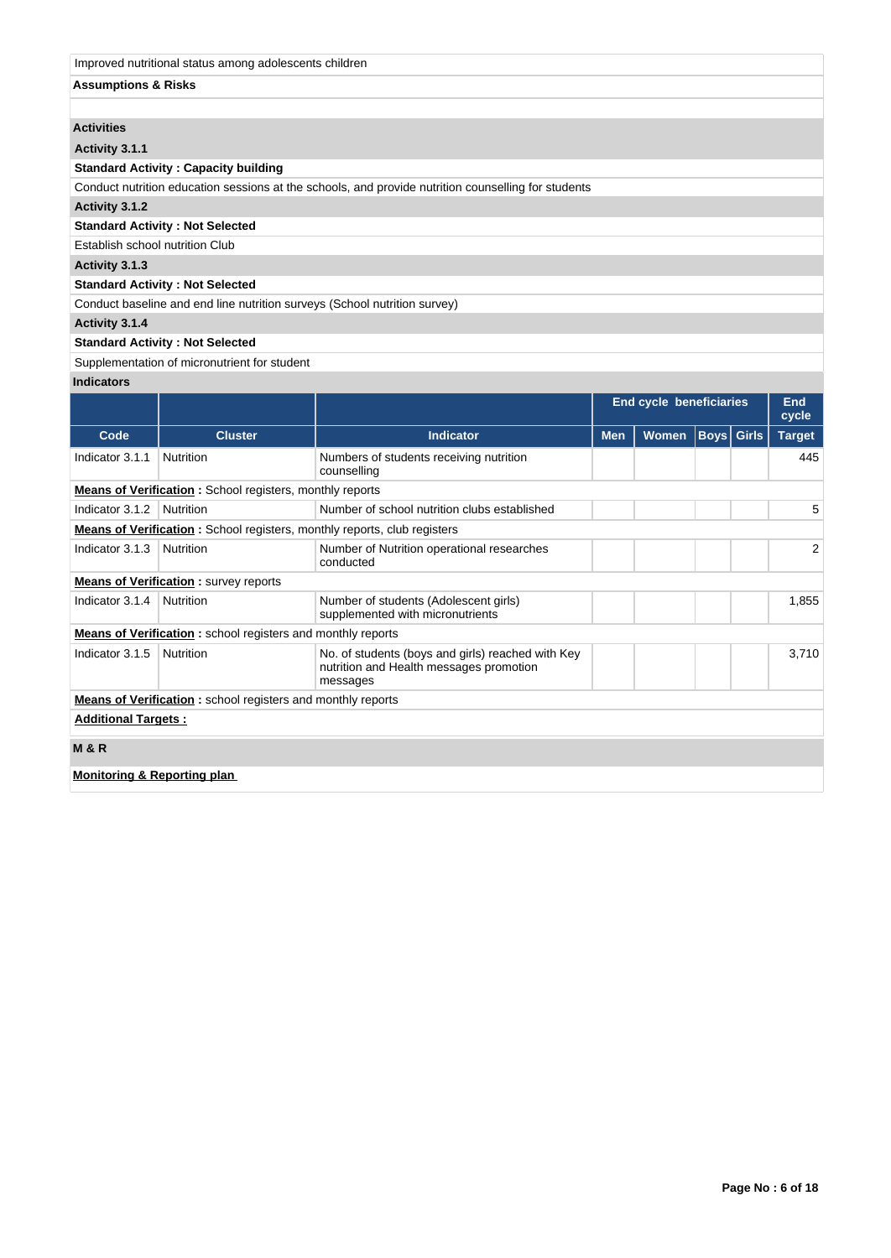### Improved nutritional status among adolescents children

## **Assumptions & Risks**

## **Activities**

**Activity 3.1.1** 

### **Standard Activity : Capacity building**

Conduct nutrition education sessions at the schools, and provide nutrition counselling for students

**Activity 3.1.2** 

# **Standard Activity : Not Selected**

Establish school nutrition Club

## **Activity 3.1.3**

## **Standard Activity : Not Selected**

Conduct baseline and end line nutrition surveys (School nutrition survey)

## **Activity 3.1.4**

## **Standard Activity : Not Selected**

## Supplementation of micronutrient for student

## **Indicators**

|                                        |                                                                                 |                                                                                                          | <b>End cycle beneficiaries</b>           |  |  |  | End<br>cycle |  |               |  |
|----------------------------------------|---------------------------------------------------------------------------------|----------------------------------------------------------------------------------------------------------|------------------------------------------|--|--|--|--------------|--|---------------|--|
| Code                                   | <b>Cluster</b>                                                                  | <b>Indicator</b>                                                                                         | <b>Boys</b> Girls<br><b>Men</b><br>Women |  |  |  |              |  | <b>Target</b> |  |
| Indicator 3.1.1                        | Nutrition                                                                       | Numbers of students receiving nutrition<br>counselling                                                   |                                          |  |  |  | 445          |  |               |  |
|                                        | <b>Means of Verification:</b> School registers, monthly reports                 |                                                                                                          |                                          |  |  |  |              |  |               |  |
| Indicator 3.1.2                        | Nutrition                                                                       | Number of school nutrition clubs established                                                             |                                          |  |  |  | 5            |  |               |  |
|                                        | <b>Means of Verification:</b> School registers, monthly reports, club registers |                                                                                                          |                                          |  |  |  |              |  |               |  |
| Indicator 3.1.3                        | Nutrition                                                                       | Number of Nutrition operational researches<br>conducted                                                  |                                          |  |  |  | 2            |  |               |  |
|                                        | <b>Means of Verification:</b> survey reports                                    |                                                                                                          |                                          |  |  |  |              |  |               |  |
| Indicator 3.1.4                        | Nutrition                                                                       | Number of students (Adolescent girls)<br>supplemented with micronutrients                                |                                          |  |  |  | 1,855        |  |               |  |
|                                        | <b>Means of Verification:</b> school registers and monthly reports              |                                                                                                          |                                          |  |  |  |              |  |               |  |
| Indicator 3.1.5                        | Nutrition                                                                       | No. of students (boys and girls) reached with Key<br>nutrition and Health messages promotion<br>messages |                                          |  |  |  | 3,710        |  |               |  |
|                                        | <b>Means of Verification:</b> school registers and monthly reports              |                                                                                                          |                                          |  |  |  |              |  |               |  |
| <b>Additional Targets:</b>             |                                                                                 |                                                                                                          |                                          |  |  |  |              |  |               |  |
| <b>M&amp;R</b>                         |                                                                                 |                                                                                                          |                                          |  |  |  |              |  |               |  |
| <b>Monitoring &amp; Reporting plan</b> |                                                                                 |                                                                                                          |                                          |  |  |  |              |  |               |  |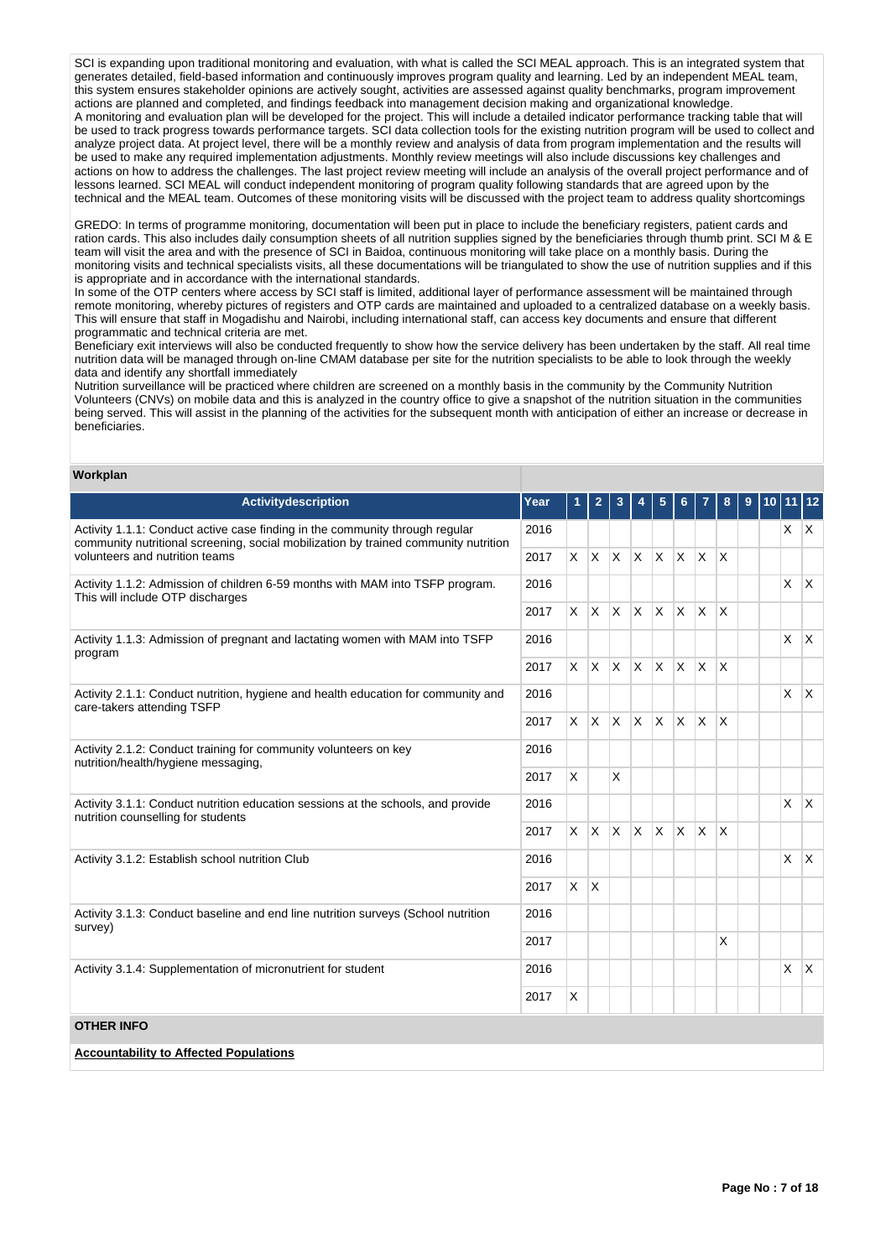SCI is expanding upon traditional monitoring and evaluation, with what is called the SCI MEAL approach. This is an integrated system that generates detailed, field-based information and continuously improves program quality and learning. Led by an independent MEAL team, this system ensures stakeholder opinions are actively sought, activities are assessed against quality benchmarks, program improvement actions are planned and completed, and findings feedback into management decision making and organizational knowledge. A monitoring and evaluation plan will be developed for the project. This will include a detailed indicator performance tracking table that will be used to track progress towards performance targets. SCI data collection tools for the existing nutrition program will be used to collect and analyze project data. At project level, there will be a monthly review and analysis of data from program implementation and the results will be used to make any required implementation adjustments. Monthly review meetings will also include discussions key challenges and actions on how to address the challenges. The last project review meeting will include an analysis of the overall project performance and of lessons learned. SCI MEAL will conduct independent monitoring of program quality following standards that are agreed upon by the technical and the MEAL team. Outcomes of these monitoring visits will be discussed with the project team to address quality shortcomings

GREDO: In terms of programme monitoring, documentation will been put in place to include the beneficiary registers, patient cards and ration cards. This also includes daily consumption sheets of all nutrition supplies signed by the beneficiaries through thumb print. SCI M & E team will visit the area and with the presence of SCI in Baidoa, continuous monitoring will take place on a monthly basis. During the monitoring visits and technical specialists visits, all these documentations will be triangulated to show the use of nutrition supplies and if this is appropriate and in accordance with the international standards.

In some of the OTP centers where access by SCI staff is limited, additional layer of performance assessment will be maintained through remote monitoring, whereby pictures of registers and OTP cards are maintained and uploaded to a centralized database on a weekly basis. This will ensure that staff in Mogadishu and Nairobi, including international staff, can access key documents and ensure that different programmatic and technical criteria are met.

Beneficiary exit interviews will also be conducted frequently to show how the service delivery has been undertaken by the staff. All real time nutrition data will be managed through on-line CMAM database per site for the nutrition specialists to be able to look through the weekly data and identify any shortfall immediately

Nutrition surveillance will be practiced where children are screened on a monthly basis in the community by the Community Nutrition Volunteers (CNVs) on mobile data and this is analyzed in the country office to give a snapshot of the nutrition situation in the communities being served. This will assist in the planning of the activities for the subsequent month with anticipation of either an increase or decrease in beneficiaries.

### **Workplan**

| Activitydescription                                                                                                                                                 | Year | 1        | $\overline{2}$ | 3            | 4                        | 5            | 6.           |                         | 8            | 9 | $10$ 11 12 |              |
|---------------------------------------------------------------------------------------------------------------------------------------------------------------------|------|----------|----------------|--------------|--------------------------|--------------|--------------|-------------------------|--------------|---|------------|--------------|
| Activity 1.1.1: Conduct active case finding in the community through regular<br>community nutritional screening, social mobilization by trained community nutrition |      |          |                |              |                          |              |              |                         |              |   | $x \mid x$ |              |
| volunteers and nutrition teams                                                                                                                                      | 2017 | X.       |                |              | $x \mid x \mid x \mid x$ |              | ΙX.          | $\mathsf{X}$            | $\mathsf{X}$ |   |            |              |
| Activity 1.1.2: Admission of children 6-59 months with MAM into TSFP program.<br>This will include OTP discharges                                                   | 2016 |          |                |              |                          |              |              |                         |              |   | X          | $\mathsf{X}$ |
|                                                                                                                                                                     | 2017 | $\times$ |                | $X$ $X$ $X$  |                          | <b>X</b>     | $\mathsf{X}$ | ΙX.                     | ΙX           |   |            |              |
| Activity 1.1.3: Admission of pregnant and lactating women with MAM into TSFP<br>program                                                                             | 2016 |          |                |              |                          |              |              |                         |              |   | X          | $\mathsf{X}$ |
|                                                                                                                                                                     | 2017 | <b>X</b> | $ X $ $ X $    |              |                          | <b>X</b>     | <b>X</b>     | $\mathsf{X}$            | ΙX           |   |            |              |
| Activity 2.1.1: Conduct nutrition, hygiene and health education for community and<br>care-takers attending TSFP                                                     | 2016 |          |                |              |                          |              |              |                         |              |   | X          | ΙX.          |
|                                                                                                                                                                     | 2017 | <b>X</b> | X.             | $\mathsf{X}$ | $\mathsf{X}$             | <sup>X</sup> | X            | $\overline{\mathsf{x}}$ | X            |   |            |              |
| Activity 2.1.2: Conduct training for community volunteers on key<br>nutrition/health/hygiene messaging,                                                             | 2016 |          |                |              |                          |              |              |                         |              |   |            |              |
|                                                                                                                                                                     | 2017 | <b>X</b> |                | $\mathsf{X}$ |                          |              |              |                         |              |   |            |              |
| Activity 3.1.1: Conduct nutrition education sessions at the schools, and provide<br>nutrition counselling for students                                              | 2016 |          |                |              |                          |              |              |                         |              |   | X          | $\mathsf{X}$ |
|                                                                                                                                                                     | 2017 | X.       | $\mathsf{X}$   | $\mathsf{X}$ | $\mathsf{X}$             | <b>X</b>     | <b>X</b>     | $\overline{\mathsf{x}}$ | X            |   |            |              |
| Activity 3.1.2: Establish school nutrition Club                                                                                                                     | 2016 |          |                |              |                          |              |              |                         |              |   | X          | ΙX.          |
|                                                                                                                                                                     | 2017 | X.       | $\mathsf{X}$   |              |                          |              |              |                         |              |   |            |              |
| Activity 3.1.3: Conduct baseline and end line nutrition surveys (School nutrition<br>survey)                                                                        | 2016 |          |                |              |                          |              |              |                         |              |   |            |              |
|                                                                                                                                                                     | 2017 |          |                |              |                          |              |              |                         | X            |   |            |              |
| Activity 3.1.4: Supplementation of micronutrient for student                                                                                                        | 2016 |          |                |              |                          |              |              |                         |              |   | X          | ΙX.          |
|                                                                                                                                                                     | 2017 | X        |                |              |                          |              |              |                         |              |   |            |              |
| <b>OTHER INFO</b>                                                                                                                                                   |      |          |                |              |                          |              |              |                         |              |   |            |              |
| <b>Accountability to Affected Populations</b>                                                                                                                       |      |          |                |              |                          |              |              |                         |              |   |            |              |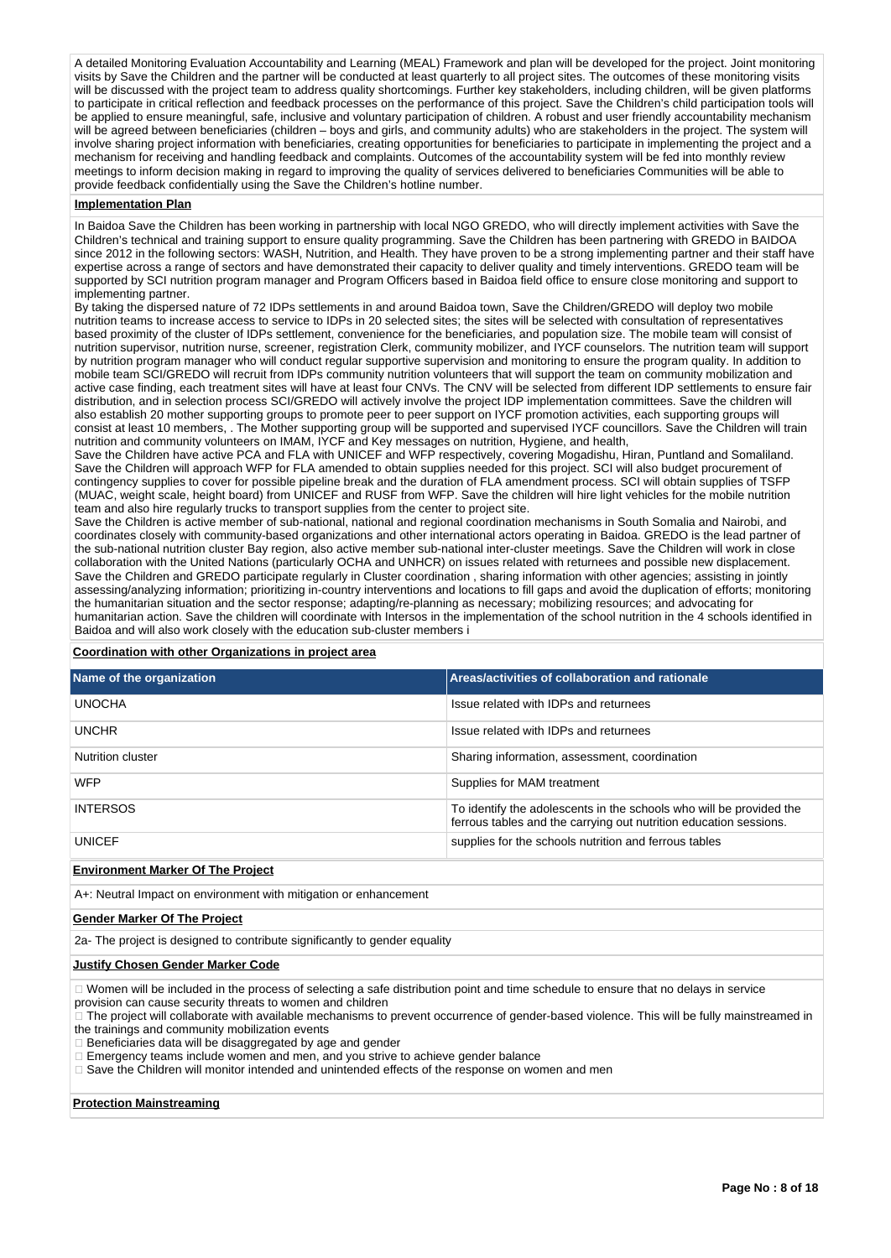A detailed Monitoring Evaluation Accountability and Learning (MEAL) Framework and plan will be developed for the project. Joint monitoring visits by Save the Children and the partner will be conducted at least quarterly to all project sites. The outcomes of these monitoring visits will be discussed with the project team to address quality shortcomings. Further key stakeholders, including children, will be given platforms to participate in critical reflection and feedback processes on the performance of this project. Save the Children's child participation tools will be applied to ensure meaningful, safe, inclusive and voluntary participation of children. A robust and user friendly accountability mechanism will be agreed between beneficiaries (children – boys and girls, and community adults) who are stakeholders in the project. The system will involve sharing project information with beneficiaries, creating opportunities for beneficiaries to participate in implementing the project and a mechanism for receiving and handling feedback and complaints. Outcomes of the accountability system will be fed into monthly review meetings to inform decision making in regard to improving the quality of services delivered to beneficiaries Communities will be able to provide feedback confidentially using the Save the Children's hotline number.

#### **Implementation Plan**

In Baidoa Save the Children has been working in partnership with local NGO GREDO, who will directly implement activities with Save the Children's technical and training support to ensure quality programming. Save the Children has been partnering with GREDO in BAIDOA since 2012 in the following sectors: WASH, Nutrition, and Health. They have proven to be a strong implementing partner and their staff have expertise across a range of sectors and have demonstrated their capacity to deliver quality and timely interventions. GREDO team will be supported by SCI nutrition program manager and Program Officers based in Baidoa field office to ensure close monitoring and support to implementing partner.

By taking the dispersed nature of 72 IDPs settlements in and around Baidoa town, Save the Children/GREDO will deploy two mobile nutrition teams to increase access to service to IDPs in 20 selected sites; the sites will be selected with consultation of representatives based proximity of the cluster of IDPs settlement, convenience for the beneficiaries, and population size. The mobile team will consist of nutrition supervisor, nutrition nurse, screener, registration Clerk, community mobilizer, and IYCF counselors. The nutrition team will support by nutrition program manager who will conduct regular supportive supervision and monitoring to ensure the program quality. In addition to mobile team SCI/GREDO will recruit from IDPs community nutrition volunteers that will support the team on community mobilization and active case finding, each treatment sites will have at least four CNVs. The CNV will be selected from different IDP settlements to ensure fair distribution, and in selection process SCI/GREDO will actively involve the project IDP implementation committees. Save the children will also establish 20 mother supporting groups to promote peer to peer support on IYCF promotion activities, each supporting groups will consist at least 10 members, . The Mother supporting group will be supported and supervised IYCF councillors. Save the Children will train nutrition and community volunteers on IMAM, IYCF and Key messages on nutrition, Hygiene, and health,

Save the Children have active PCA and FLA with UNICEF and WFP respectively, covering Mogadishu, Hiran, Puntland and Somaliland. Save the Children will approach WFP for FLA amended to obtain supplies needed for this project. SCI will also budget procurement of contingency supplies to cover for possible pipeline break and the duration of FLA amendment process. SCI will obtain supplies of TSFP (MUAC, weight scale, height board) from UNICEF and RUSF from WFP. Save the children will hire light vehicles for the mobile nutrition team and also hire regularly trucks to transport supplies from the center to project site.

Save the Children is active member of sub-national, national and regional coordination mechanisms in South Somalia and Nairobi, and coordinates closely with community-based organizations and other international actors operating in Baidoa. GREDO is the lead partner of the sub-national nutrition cluster Bay region, also active member sub-national inter-cluster meetings. Save the Children will work in close collaboration with the United Nations (particularly OCHA and UNHCR) on issues related with returnees and possible new displacement. Save the Children and GREDO participate regularly in Cluster coordination , sharing information with other agencies; assisting in jointly assessing/analyzing information; prioritizing in-country interventions and locations to fill gaps and avoid the duplication of efforts; monitoring the humanitarian situation and the sector response; adapting/re-planning as necessary; mobilizing resources; and advocating for humanitarian action. Save the children will coordinate with Intersos in the implementation of the school nutrition in the 4 schools identified in Baidoa and will also work closely with the education sub-cluster members i

### **Coordination with other Organizations in project area**

| Name of the organization | Areas/activities of collaboration and rationale                                                                                          |
|--------------------------|------------------------------------------------------------------------------------------------------------------------------------------|
| <b>UNOCHA</b>            | Issue related with IDPs and returnees                                                                                                    |
| <b>UNCHR</b>             | Issue related with IDPs and returnees                                                                                                    |
| Nutrition cluster        | Sharing information, assessment, coordination                                                                                            |
| <b>WFP</b>               | Supplies for MAM treatment                                                                                                               |
| <b>INTERSOS</b>          | To identify the adolescents in the schools who will be provided the<br>ferrous tables and the carrying out nutrition education sessions. |
| <b>UNICEF</b>            | supplies for the schools nutrition and ferrous tables                                                                                    |
|                          |                                                                                                                                          |

**Environment Marker Of The Project**

A+: Neutral Impact on environment with mitigation or enhancement

### **Gender Marker Of The Project**

2a- The project is designed to contribute significantly to gender equality

#### **Justify Chosen Gender Marker Code**

Women will be included in the process of selecting a safe distribution point and time schedule to ensure that no delays in service

- provision can cause security threats to women and children
- The project will collaborate with available mechanisms to prevent occurrence of gender-based violence. This will be fully mainstreamed in the trainings and community mobilization events
- Beneficiaries data will be disaggregated by age and gender
- Emergency teams include women and men, and you strive to achieve gender balance
- $\Box$  Save the Children will monitor intended and unintended effects of the response on women and men

### **Protection Mainstreaming**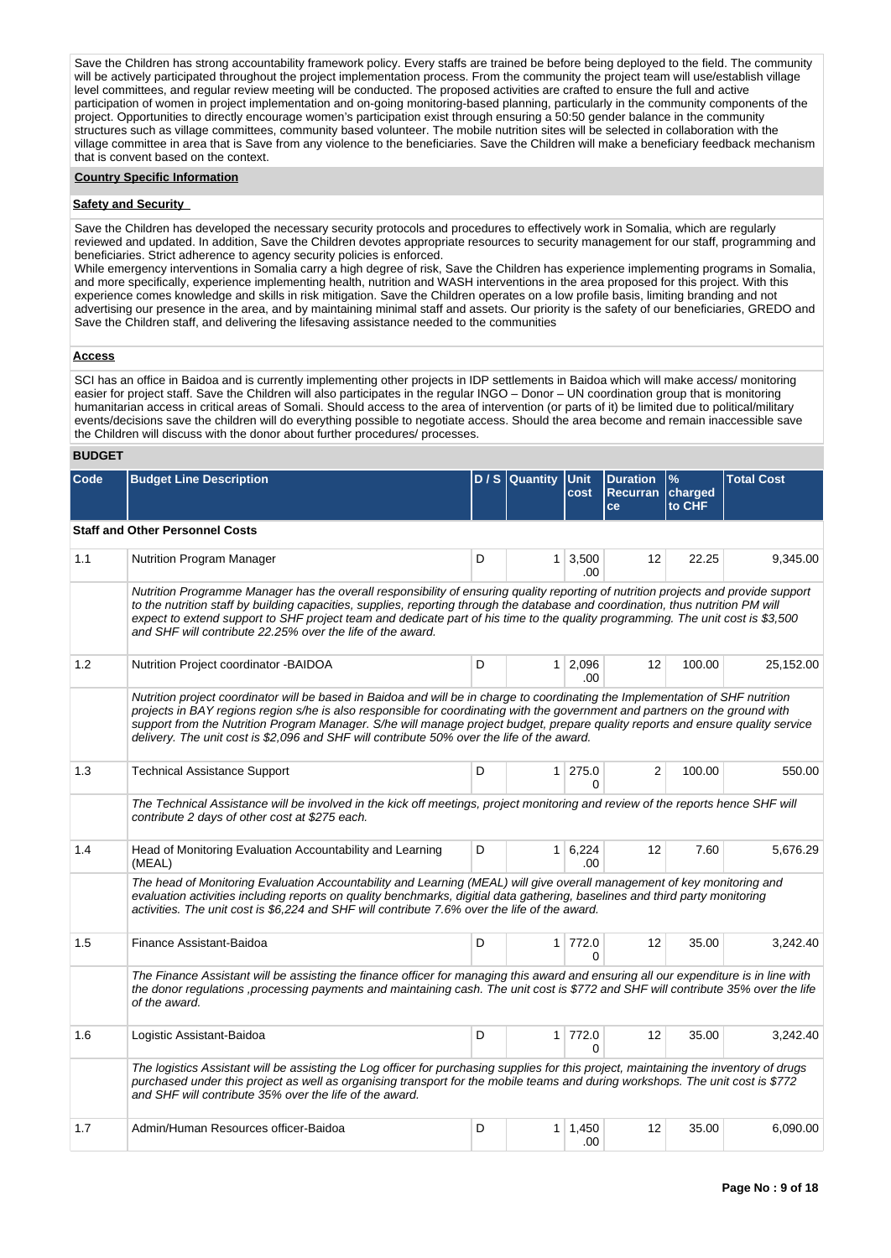Save the Children has strong accountability framework policy. Every staffs are trained be before being deployed to the field. The community will be actively participated throughout the project implementation process. From the community the project team will use/establish village level committees, and regular review meeting will be conducted. The proposed activities are crafted to ensure the full and active participation of women in project implementation and on-going monitoring-based planning, particularly in the community components of the project. Opportunities to directly encourage women's participation exist through ensuring a 50:50 gender balance in the community structures such as village committees, community based volunteer. The mobile nutrition sites will be selected in collaboration with the village committee in area that is Save from any violence to the beneficiaries. Save the Children will make a beneficiary feedback mechanism that is convent based on the context.

### **Country Specific Information**

### **Safety and Security**

Save the Children has developed the necessary security protocols and procedures to effectively work in Somalia, which are regularly reviewed and updated. In addition, Save the Children devotes appropriate resources to security management for our staff, programming and beneficiaries. Strict adherence to agency security policies is enforced.

While emergency interventions in Somalia carry a high degree of risk, Save the Children has experience implementing programs in Somalia, and more specifically, experience implementing health, nutrition and WASH interventions in the area proposed for this project. With this experience comes knowledge and skills in risk mitigation. Save the Children operates on a low profile basis, limiting branding and not advertising our presence in the area, and by maintaining minimal staff and assets. Our priority is the safety of our beneficiaries, GREDO and Save the Children staff, and delivering the lifesaving assistance needed to the communities

### **Access**

SCI has an office in Baidoa and is currently implementing other projects in IDP settlements in Baidoa which will make access/ monitoring easier for project staff. Save the Children will also participates in the regular INGO – Donor – UN coordination group that is monitoring humanitarian access in critical areas of Somali. Should access to the area of intervention (or parts of it) be limited due to political/military events/decisions save the children will do everything possible to negotiate access. Should the area become and remain inaccessible save the Children will discuss with the donor about further procedures/ processes.

### **BUDGET**

| Code | <b>Budget Line Description</b>                                                                                                                                                                                                                                                                                                                                                                                                                                                                   |   | $D / S$ Quantity | <b>Unit</b><br>cost            | <b>Duration</b><br>Recurran charged | $\frac{9}{6}$ | <b>Total Cost</b> |
|------|--------------------------------------------------------------------------------------------------------------------------------------------------------------------------------------------------------------------------------------------------------------------------------------------------------------------------------------------------------------------------------------------------------------------------------------------------------------------------------------------------|---|------------------|--------------------------------|-------------------------------------|---------------|-------------------|
|      |                                                                                                                                                                                                                                                                                                                                                                                                                                                                                                  |   |                  |                                | ce                                  | to CHF        |                   |
|      | <b>Staff and Other Personnel Costs</b>                                                                                                                                                                                                                                                                                                                                                                                                                                                           |   |                  |                                |                                     |               |                   |
| 1.1  | <b>Nutrition Program Manager</b>                                                                                                                                                                                                                                                                                                                                                                                                                                                                 | D |                  | $1 \mid 3,500$<br>.00.         | 12                                  | 22.25         | 9,345.00          |
|      | Nutrition Programme Manager has the overall responsibility of ensuring quality reporting of nutrition projects and provide support<br>to the nutrition staff by building capacities, supplies, reporting through the database and coordination, thus nutrition PM will<br>expect to extend support to SHF project team and dedicate part of his time to the quality programming. The unit cost is \$3,500<br>and SHF will contribute 22.25% over the life of the award.                          |   |                  |                                |                                     |               |                   |
| 1.2  | Nutrition Project coordinator - BAIDOA                                                                                                                                                                                                                                                                                                                                                                                                                                                           | D |                  | $1 \quad 2,096$<br>.00         | $12 \overline{ }$                   | 100.00        | 25,152.00         |
|      | Nutrition project coordinator will be based in Baidoa and will be in charge to coordinating the Implementation of SHF nutrition<br>projects in BAY regions region s/he is also responsible for coordinating with the government and partners on the ground with<br>support from the Nutrition Program Manager. S/he will manage project budget, prepare quality reports and ensure quality service<br>delivery. The unit cost is \$2,096 and SHF will contribute 50% over the life of the award. |   |                  |                                |                                     |               |                   |
| 1.3  | <b>Technical Assistance Support</b>                                                                                                                                                                                                                                                                                                                                                                                                                                                              | D |                  | $1$   275.0<br>$\Omega$        | $\overline{2}$                      | 100.00        | 550.00            |
|      | The Technical Assistance will be involved in the kick off meetings, project monitoring and review of the reports hence SHF will<br>contribute 2 days of other cost at \$275 each.                                                                                                                                                                                                                                                                                                                |   |                  |                                |                                     |               |                   |
| 1.4  | Head of Monitoring Evaluation Accountability and Learning<br>(MEAL)                                                                                                                                                                                                                                                                                                                                                                                                                              | D |                  | $1 \overline{6,224}$<br>.00.   | 12                                  | 7.60          | 5,676.29          |
|      | The head of Monitoring Evaluation Accountability and Learning (MEAL) will give overall management of key monitoring and<br>evaluation activities including reports on quality benchmarks, digitial data gathering, baselines and third party monitoring<br>activities. The unit cost is \$6,224 and SHF will contribute 7.6% over the life of the award.                                                                                                                                         |   |                  |                                |                                     |               |                   |
| 1.5  | Finance Assistant-Baidoa                                                                                                                                                                                                                                                                                                                                                                                                                                                                         | D |                  | $1 \mid 772.0$<br><sup>0</sup> | $12 \overline{ }$                   | 35.00         | 3,242.40          |
|      | The Finance Assistant will be assisting the finance officer for managing this award and ensuring all our expenditure is in line with<br>the donor regulations ,processing payments and maintaining cash. The unit cost is \$772 and SHF will contribute 35% over the life<br>of the award.                                                                                                                                                                                                       |   |                  |                                |                                     |               |                   |
| 1.6  | Logistic Assistant-Baidoa                                                                                                                                                                                                                                                                                                                                                                                                                                                                        | D |                  | 1 772.0<br>U                   | 12                                  | 35.00         | 3,242.40          |
|      | The logistics Assistant will be assisting the Log officer for purchasing supplies for this project, maintaining the inventory of drugs<br>purchased under this project as well as organising transport for the mobile teams and during workshops. The unit cost is \$772<br>and SHF will contribute 35% over the life of the award.                                                                                                                                                              |   |                  |                                |                                     |               |                   |
| 1.7  | Admin/Human Resources officer-Baidoa                                                                                                                                                                                                                                                                                                                                                                                                                                                             | D |                  | $1 \mid 1,450$<br>.00          | $12 \overline{ }$                   | 35.00         | 6,090.00          |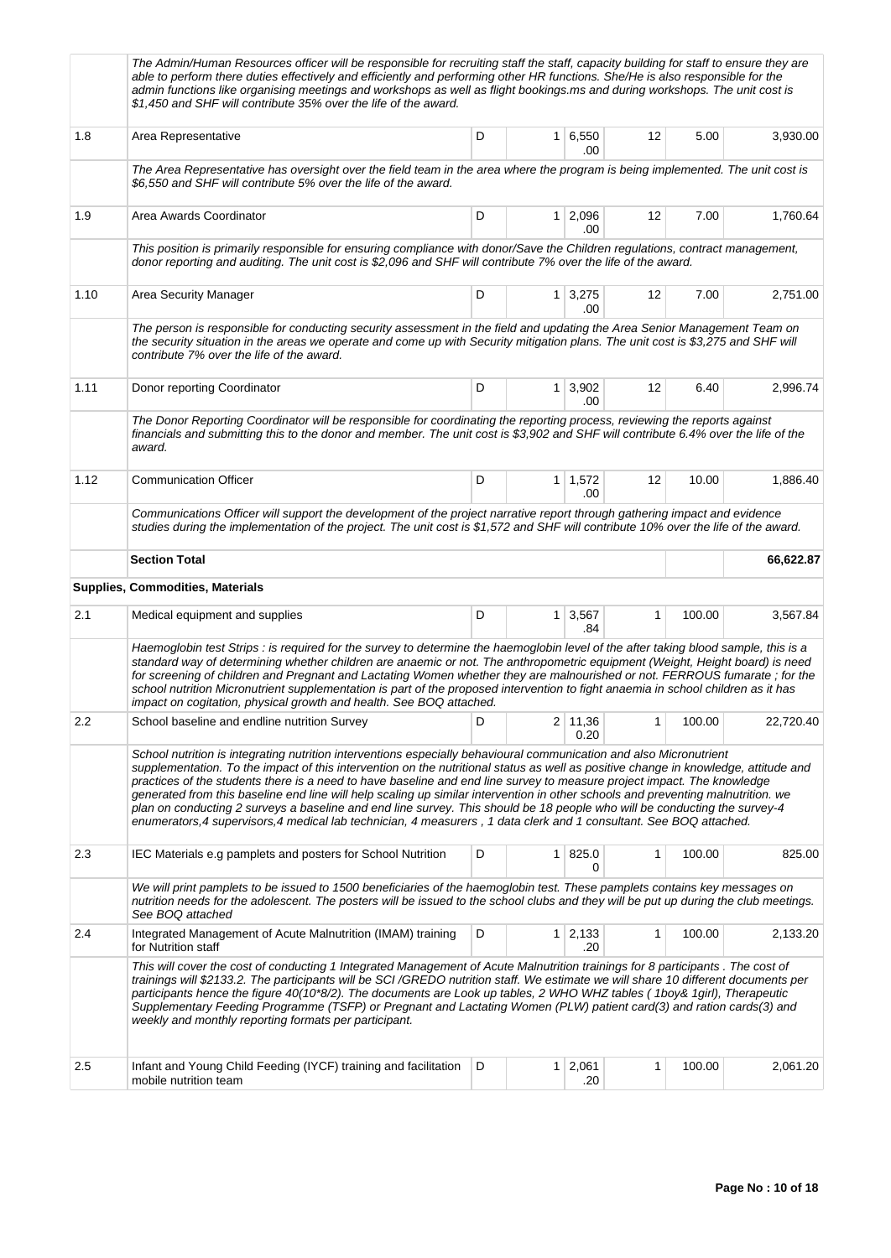|      | The Admin/Human Resources officer will be responsible for recruiting staff the staff, capacity building for staff to ensure they are<br>able to perform there duties effectively and efficiently and performing other HR functions. She/He is also responsible for the<br>admin functions like organising meetings and workshops as well as flight bookings.ms and during workshops. The unit cost is<br>\$1,450 and SHF will contribute 35% over the life of the award.                                                                                                                                                                                                                                                                                                      |   |  |                             |    |        |           |  |  |  |
|------|-------------------------------------------------------------------------------------------------------------------------------------------------------------------------------------------------------------------------------------------------------------------------------------------------------------------------------------------------------------------------------------------------------------------------------------------------------------------------------------------------------------------------------------------------------------------------------------------------------------------------------------------------------------------------------------------------------------------------------------------------------------------------------|---|--|-----------------------------|----|--------|-----------|--|--|--|
| 1.8  | Area Representative                                                                                                                                                                                                                                                                                                                                                                                                                                                                                                                                                                                                                                                                                                                                                           | D |  | $1 \mid 6,550$<br>.00       | 12 | 5.00   | 3,930.00  |  |  |  |
|      | The Area Representative has oversight over the field team in the area where the program is being implemented. The unit cost is<br>\$6,550 and SHF will contribute 5% over the life of the award.                                                                                                                                                                                                                                                                                                                                                                                                                                                                                                                                                                              |   |  |                             |    |        |           |  |  |  |
| 1.9  | Area Awards Coordinator                                                                                                                                                                                                                                                                                                                                                                                                                                                                                                                                                                                                                                                                                                                                                       | D |  | 1 2,096<br>.00              | 12 | 7.00   | 1,760.64  |  |  |  |
|      | This position is primarily responsible for ensuring compliance with donor/Save the Children regulations, contract management,<br>donor reporting and auditing. The unit cost is \$2,096 and SHF will contribute 7% over the life of the award.                                                                                                                                                                                                                                                                                                                                                                                                                                                                                                                                |   |  |                             |    |        |           |  |  |  |
| 1.10 | Area Security Manager                                                                                                                                                                                                                                                                                                                                                                                                                                                                                                                                                                                                                                                                                                                                                         | D |  | $1 \overline{3,275}$<br>.00 | 12 | 7.00   | 2,751.00  |  |  |  |
|      | The person is responsible for conducting security assessment in the field and updating the Area Senior Management Team on<br>the security situation in the areas we operate and come up with Security mitigation plans. The unit cost is \$3,275 and SHF will<br>contribute 7% over the life of the award.                                                                                                                                                                                                                                                                                                                                                                                                                                                                    |   |  |                             |    |        |           |  |  |  |
| 1.11 | Donor reporting Coordinator                                                                                                                                                                                                                                                                                                                                                                                                                                                                                                                                                                                                                                                                                                                                                   | D |  | $1 \mid 3,902$<br>.00       | 12 | 6.40   | 2,996.74  |  |  |  |
|      | The Donor Reporting Coordinator will be responsible for coordinating the reporting process, reviewing the reports against<br>financials and submitting this to the donor and member. The unit cost is \$3,902 and SHF will contribute 6.4% over the life of the<br>award.                                                                                                                                                                                                                                                                                                                                                                                                                                                                                                     |   |  |                             |    |        |           |  |  |  |
| 1.12 | <b>Communication Officer</b>                                                                                                                                                                                                                                                                                                                                                                                                                                                                                                                                                                                                                                                                                                                                                  | D |  | $1 \mid 1,572$<br>.00       | 12 | 10.00  | 1,886.40  |  |  |  |
|      | Communications Officer will support the development of the project narrative report through gathering impact and evidence<br>studies during the implementation of the project. The unit cost is \$1,572 and SHF will contribute 10% over the life of the award.                                                                                                                                                                                                                                                                                                                                                                                                                                                                                                               |   |  |                             |    |        |           |  |  |  |
|      | <b>Section Total</b><br>66,622.87                                                                                                                                                                                                                                                                                                                                                                                                                                                                                                                                                                                                                                                                                                                                             |   |  |                             |    |        |           |  |  |  |
|      | <b>Supplies, Commodities, Materials</b>                                                                                                                                                                                                                                                                                                                                                                                                                                                                                                                                                                                                                                                                                                                                       |   |  |                             |    |        |           |  |  |  |
| 2.1  | Medical equipment and supplies                                                                                                                                                                                                                                                                                                                                                                                                                                                                                                                                                                                                                                                                                                                                                | D |  | $1 \mid 3,567$<br>.84       | 1  | 100.00 | 3,567.84  |  |  |  |
|      | Haemoglobin test Strips : is required for the survey to determine the haemoglobin level of the after taking blood sample, this is a<br>standard way of determining whether children are anaemic or not. The anthropometric equipment (Weight, Height board) is need<br>for screening of children and Pregnant and Lactating Women whether they are malnourished or not. FERROUS fumarate; for the<br>school nutrition Micronutrient supplementation is part of the proposed intervention to fight anaemia in school children as it has<br>impact on cogitation, physical growth and health. See BOQ attached.                                                                                                                                                                 |   |  |                             |    |        |           |  |  |  |
| 2.2  | School baseline and endline nutrition Survey                                                                                                                                                                                                                                                                                                                                                                                                                                                                                                                                                                                                                                                                                                                                  |   |  | 11,36<br>0.20               | 1  | 100.00 | 22,720.40 |  |  |  |
|      | School nutrition is integrating nutrition interventions especially behavioural communication and also Micronutrient<br>supplementation. To the impact of this intervention on the nutritional status as well as positive change in knowledge, attitude and<br>practices of the students there is a need to have baseline and end line survey to measure project impact. The knowledge<br>generated from this baseline end line will help scaling up similar intervention in other schools and preventing malnutrition. we<br>plan on conducting 2 surveys a baseline and end line survey. This should be 18 people who will be conducting the survey-4<br>enumerators, 4 supervisors, 4 medical lab technician, 4 measurers, 1 data clerk and 1 consultant. See BOQ attached. |   |  |                             |    |        |           |  |  |  |
| 2.3  | IEC Materials e.g pamplets and posters for School Nutrition                                                                                                                                                                                                                                                                                                                                                                                                                                                                                                                                                                                                                                                                                                                   | D |  | 1   825.0<br>0              | 1  | 100.00 | 825.00    |  |  |  |
|      | We will print pamplets to be issued to 1500 beneficiaries of the haemoglobin test. These pamplets contains key messages on<br>nutrition needs for the adolescent. The posters will be issued to the school clubs and they will be put up during the club meetings.<br>See BOQ attached                                                                                                                                                                                                                                                                                                                                                                                                                                                                                        |   |  |                             |    |        |           |  |  |  |
| 2.4  | Integrated Management of Acute Malnutrition (IMAM) training<br>for Nutrition staff                                                                                                                                                                                                                                                                                                                                                                                                                                                                                                                                                                                                                                                                                            | D |  | $1 \mid 2,133$<br>.20       | 1  | 100.00 | 2,133.20  |  |  |  |
|      | This will cover the cost of conducting 1 Integrated Management of Acute Malnutrition trainings for 8 participants. The cost of<br>trainings will \$2133.2. The participants will be SCI/GREDO nutrition staff. We estimate we will share 10 different documents per<br>participants hence the figure 40(10*8/2). The documents are Look up tables, 2 WHO WHZ tables (1boy& 1girl), Therapeutic<br>Supplementary Feeding Programme (TSFP) or Pregnant and Lactating Women (PLW) patient card(3) and ration cards(3) and<br>weekly and monthly reporting formats per participant.                                                                                                                                                                                               |   |  |                             |    |        |           |  |  |  |
| 2.5  | Infant and Young Child Feeding (IYCF) training and facilitation<br>mobile nutrition team                                                                                                                                                                                                                                                                                                                                                                                                                                                                                                                                                                                                                                                                                      | D |  | $1 \mid 2,061$<br>.20       | 1  | 100.00 | 2,061.20  |  |  |  |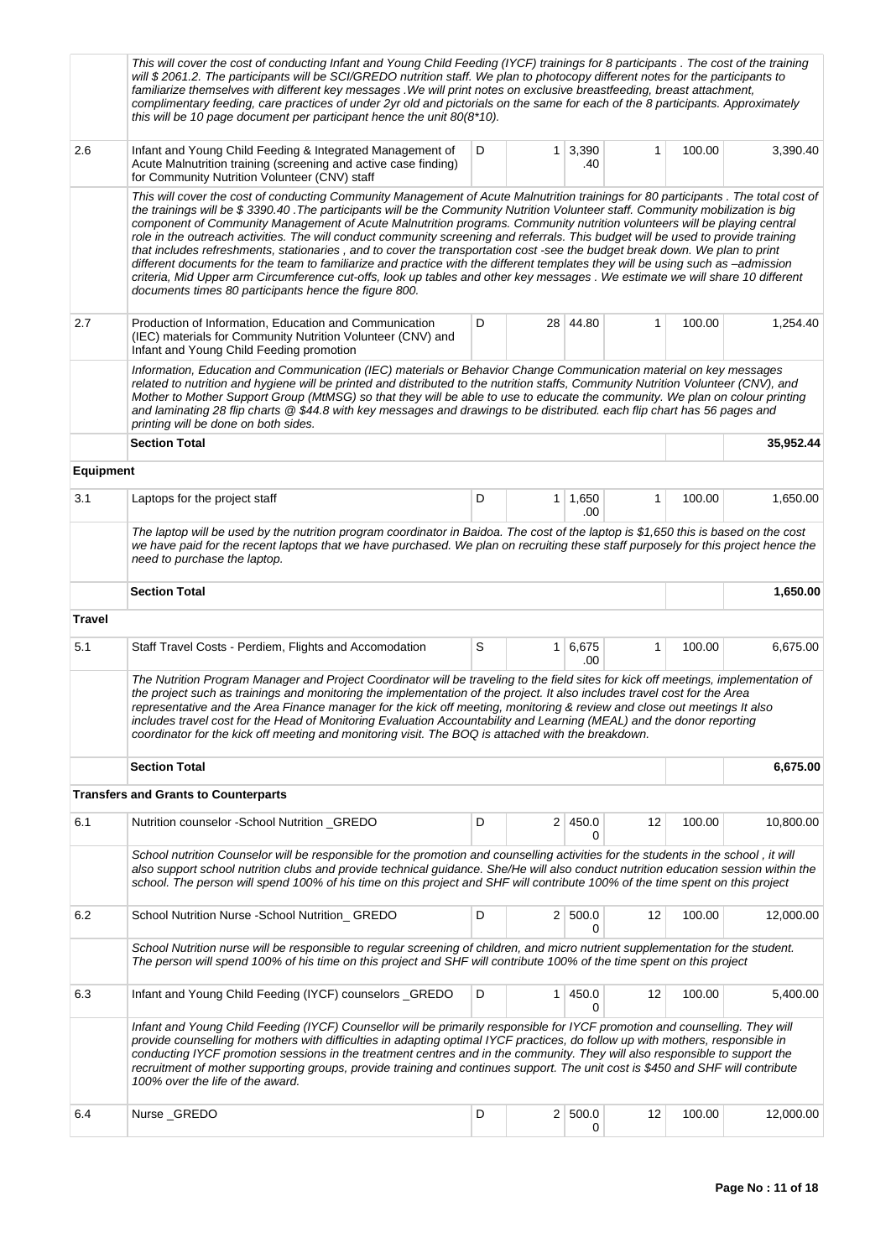|                  | This will cover the cost of conducting Infant and Young Child Feeding (IYCF) trainings for 8 participants. The cost of the training<br>will \$2061.2. The participants will be SCI/GREDO nutrition staff. We plan to photocopy different notes for the participants to<br>familiarize themselves with different key messages. We will print notes on exclusive breastfeeding, breast attachment,<br>complimentary feeding, care practices of under 2yr old and pictorials on the same for each of the 8 participants. Approximately<br>this will be 10 page document per participant hence the unit $80(8*10)$ .                                                                                                                                                                                                                                                                                                                                                                                    |        |                |                       |    |        |           |  |  |
|------------------|-----------------------------------------------------------------------------------------------------------------------------------------------------------------------------------------------------------------------------------------------------------------------------------------------------------------------------------------------------------------------------------------------------------------------------------------------------------------------------------------------------------------------------------------------------------------------------------------------------------------------------------------------------------------------------------------------------------------------------------------------------------------------------------------------------------------------------------------------------------------------------------------------------------------------------------------------------------------------------------------------------|--------|----------------|-----------------------|----|--------|-----------|--|--|
| 2.6              | Infant and Young Child Feeding & Integrated Management of<br>Acute Malnutrition training (screening and active case finding)<br>for Community Nutrition Volunteer (CNV) staff                                                                                                                                                                                                                                                                                                                                                                                                                                                                                                                                                                                                                                                                                                                                                                                                                       | D      |                | $1 \mid 3,390$<br>.40 | 1  | 100.00 | 3,390.40  |  |  |
|                  | This will cover the cost of conducting Community Management of Acute Malnutrition trainings for 80 participants. The total cost of<br>the trainings will be \$3390.40. The participants will be the Community Nutrition Volunteer staff. Community mobilization is big<br>component of Community Management of Acute Malnutrition programs. Community nutrition volunteers will be playing central<br>role in the outreach activities. The will conduct community screening and referrals. This budget will be used to provide training<br>that includes refreshments, stationaries, and to cover the transportation cost -see the budget break down. We plan to print<br>different documents for the team to familiarize and practice with the different templates they will be using such as -admission<br>criteria, Mid Upper arm Circumference cut-offs, look up tables and other key messages. We estimate we will share 10 different<br>documents times 80 participants hence the figure 800. |        |                |                       |    |        |           |  |  |
| 2.7              | Production of Information, Education and Communication<br>(IEC) materials for Community Nutrition Volunteer (CNV) and<br>Infant and Young Child Feeding promotion                                                                                                                                                                                                                                                                                                                                                                                                                                                                                                                                                                                                                                                                                                                                                                                                                                   | 100.00 | 1,254.40       |                       |    |        |           |  |  |
|                  | Information, Education and Communication (IEC) materials or Behavior Change Communication material on key messages<br>related to nutrition and hygiene will be printed and distributed to the nutrition staffs, Community Nutrition Volunteer (CNV), and<br>Mother to Mother Support Group (MtMSG) so that they will be able to use to educate the community. We plan on colour printing<br>and laminating 28 flip charts @ \$44.8 with key messages and drawings to be distributed. each flip chart has 56 pages and<br>printing will be done on both sides.                                                                                                                                                                                                                                                                                                                                                                                                                                       |        |                |                       |    |        |           |  |  |
|                  | <b>Section Total</b>                                                                                                                                                                                                                                                                                                                                                                                                                                                                                                                                                                                                                                                                                                                                                                                                                                                                                                                                                                                |        |                |                       |    |        | 35,952.44 |  |  |
| <b>Equipment</b> |                                                                                                                                                                                                                                                                                                                                                                                                                                                                                                                                                                                                                                                                                                                                                                                                                                                                                                                                                                                                     |        |                |                       |    |        |           |  |  |
| 3.1              | Laptops for the project staff                                                                                                                                                                                                                                                                                                                                                                                                                                                                                                                                                                                                                                                                                                                                                                                                                                                                                                                                                                       | D      |                | $1 \mid 1,650$<br>.00 | 1  | 100.00 | 1,650.00  |  |  |
|                  | The laptop will be used by the nutrition program coordinator in Baidoa. The cost of the laptop is \$1,650 this is based on the cost<br>we have paid for the recent laptops that we have purchased. We plan on recruiting these staff purposely for this project hence the<br>need to purchase the laptop.                                                                                                                                                                                                                                                                                                                                                                                                                                                                                                                                                                                                                                                                                           |        |                |                       |    |        |           |  |  |
|                  | <b>Section Total</b>                                                                                                                                                                                                                                                                                                                                                                                                                                                                                                                                                                                                                                                                                                                                                                                                                                                                                                                                                                                |        |                |                       |    |        | 1,650.00  |  |  |
| <b>Travel</b>    |                                                                                                                                                                                                                                                                                                                                                                                                                                                                                                                                                                                                                                                                                                                                                                                                                                                                                                                                                                                                     |        |                |                       |    |        |           |  |  |
| 5.1              | Staff Travel Costs - Perdiem, Flights and Accomodation                                                                                                                                                                                                                                                                                                                                                                                                                                                                                                                                                                                                                                                                                                                                                                                                                                                                                                                                              | S      | 1 <sup>1</sup> | 6,675<br>.00          | 1  | 100.00 | 6,675.00  |  |  |
|                  | The Nutrition Program Manager and Project Coordinator will be traveling to the field sites for kick off meetings, implementation of<br>the project such as trainings and monitoring the implementation of the project. It also includes travel cost for the Area<br>representative and the Area Finance manager for the kick off meeting, monitoring & review and close out meetings It also<br>includes travel cost for the Head of Monitoring Evaluation Accountability and Learning (MEAL) and the donor reporting<br>coordinator for the kick off meeting and monitoring visit. The BOQ is attached with the breakdown.                                                                                                                                                                                                                                                                                                                                                                         |        |                |                       |    |        |           |  |  |
|                  | <b>Section Total</b>                                                                                                                                                                                                                                                                                                                                                                                                                                                                                                                                                                                                                                                                                                                                                                                                                                                                                                                                                                                |        |                |                       |    |        | 6,675.00  |  |  |
|                  | <b>Transfers and Grants to Counterparts</b>                                                                                                                                                                                                                                                                                                                                                                                                                                                                                                                                                                                                                                                                                                                                                                                                                                                                                                                                                         |        |                |                       |    |        |           |  |  |
| 6.1              | Nutrition counselor - School Nutrition _GREDO                                                                                                                                                                                                                                                                                                                                                                                                                                                                                                                                                                                                                                                                                                                                                                                                                                                                                                                                                       | D      |                | 2 450.0<br>0          | 12 | 100.00 | 10,800.00 |  |  |
|                  | School nutrition Counselor will be responsible for the promotion and counselling activities for the students in the school, it will<br>also support school nutrition clubs and provide technical guidance. She/He will also conduct nutrition education session within the<br>school. The person will spend 100% of his time on this project and SHF will contribute 100% of the time spent on this project                                                                                                                                                                                                                                                                                                                                                                                                                                                                                                                                                                                         |        |                |                       |    |        |           |  |  |
| 6.2              | School Nutrition Nurse - School Nutrition_ GREDO                                                                                                                                                                                                                                                                                                                                                                                                                                                                                                                                                                                                                                                                                                                                                                                                                                                                                                                                                    | D      |                | 2   500.0<br>0        | 12 | 100.00 | 12,000.00 |  |  |
|                  | School Nutrition nurse will be responsible to regular screening of children, and micro nutrient supplementation for the student.<br>The person will spend 100% of his time on this project and SHF will contribute 100% of the time spent on this project                                                                                                                                                                                                                                                                                                                                                                                                                                                                                                                                                                                                                                                                                                                                           |        |                |                       |    |        |           |  |  |
| 6.3              | Infant and Young Child Feeding (IYCF) counselors _GREDO                                                                                                                                                                                                                                                                                                                                                                                                                                                                                                                                                                                                                                                                                                                                                                                                                                                                                                                                             | D      | 1              | 450.0<br>0            | 12 | 100.00 | 5,400.00  |  |  |
|                  | Infant and Young Child Feeding (IYCF) Counsellor will be primarily responsible for IYCF promotion and counselling. They will<br>provide counselling for mothers with difficulties in adapting optimal IYCF practices, do follow up with mothers, responsible in<br>conducting IYCF promotion sessions in the treatment centres and in the community. They will also responsible to support the<br>recruitment of mother supporting groups, provide training and continues support. The unit cost is \$450 and SHF will contribute<br>100% over the life of the award.                                                                                                                                                                                                                                                                                                                                                                                                                               |        |                |                       |    |        |           |  |  |
| 6.4              | Nurse_GREDO                                                                                                                                                                                                                                                                                                                                                                                                                                                                                                                                                                                                                                                                                                                                                                                                                                                                                                                                                                                         | D      |                | 2   500.0<br>0        | 12 | 100.00 | 12,000.00 |  |  |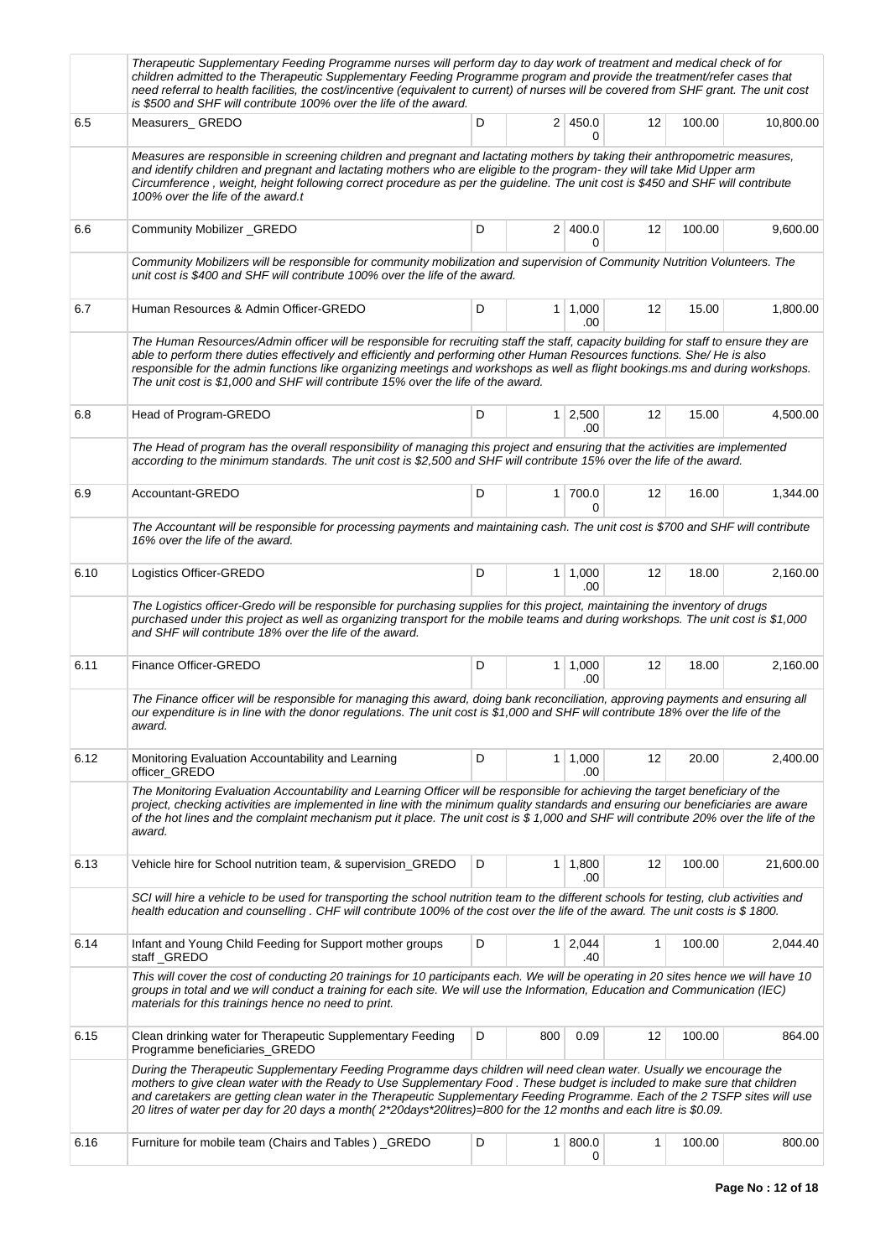|      | Therapeutic Supplementary Feeding Programme nurses will perform day to day work of treatment and medical check of for<br>children admitted to the Therapeutic Supplementary Feeding Programme program and provide the treatment/refer cases that<br>need referral to health facilities, the cost/incentive (equivalent to current) of nurses will be covered from SHF grant. The unit cost<br>is \$500 and SHF will contribute 100% over the life of the award.                                        |   |              |                       |              |        |           |
|------|--------------------------------------------------------------------------------------------------------------------------------------------------------------------------------------------------------------------------------------------------------------------------------------------------------------------------------------------------------------------------------------------------------------------------------------------------------------------------------------------------------|---|--------------|-----------------------|--------------|--------|-----------|
| 6.5  | Measurers_GREDO                                                                                                                                                                                                                                                                                                                                                                                                                                                                                        | D |              | 2   450.0<br>0        | 12           | 100.00 | 10,800.00 |
|      | Measures are responsible in screening children and pregnant and lactating mothers by taking their anthropometric measures,<br>and identify children and pregnant and lactating mothers who are eligible to the program- they will take Mid Upper arm<br>Circumference, weight, height following correct procedure as per the guideline. The unit cost is \$450 and SHF will contribute<br>100% over the life of the award.t                                                                            |   |              |                       |              |        |           |
| 6.6  | Community Mobilizer_GREDO                                                                                                                                                                                                                                                                                                                                                                                                                                                                              | D |              | 2 400.0<br>0          | 12           | 100.00 | 9,600.00  |
|      | Community Mobilizers will be responsible for community mobilization and supervision of Community Nutrition Volunteers. The<br>unit cost is \$400 and SHF will contribute 100% over the life of the award.                                                                                                                                                                                                                                                                                              |   |              |                       |              |        |           |
| 6.7  | Human Resources & Admin Officer-GREDO                                                                                                                                                                                                                                                                                                                                                                                                                                                                  | D |              | $1 \mid 1,000$<br>.00 | 12           | 15.00  | 1,800.00  |
|      | The Human Resources/Admin officer will be responsible for recruiting staff the staff, capacity building for staff to ensure they are<br>able to perform there duties effectively and efficiently and performing other Human Resources functions. She/He is also<br>responsible for the admin functions like organizing meetings and workshops as well as flight bookings.ms and during workshops.<br>The unit cost is \$1,000 and SHF will contribute 15% over the life of the award.                  |   |              |                       |              |        |           |
| 6.8  | Head of Program-GREDO                                                                                                                                                                                                                                                                                                                                                                                                                                                                                  | D |              | $1 \mid 2,500$<br>.00 | 12           | 15.00  | 4,500.00  |
|      | The Head of program has the overall responsibility of managing this project and ensuring that the activities are implemented<br>according to the minimum standards. The unit cost is \$2,500 and SHF will contribute 15% over the life of the award.                                                                                                                                                                                                                                                   |   |              |                       |              |        |           |
| 6.9  | Accountant-GREDO                                                                                                                                                                                                                                                                                                                                                                                                                                                                                       | D |              | 1 700.0<br>0          | 12           | 16.00  | 1,344.00  |
|      | The Accountant will be responsible for processing payments and maintaining cash. The unit cost is \$700 and SHF will contribute<br>16% over the life of the award.                                                                                                                                                                                                                                                                                                                                     |   |              |                       |              |        |           |
| 6.10 | Logistics Officer-GREDO                                                                                                                                                                                                                                                                                                                                                                                                                                                                                | D |              | $1 \mid 1,000$<br>.00 | 12           | 18.00  | 2,160.00  |
|      | The Logistics officer-Gredo will be responsible for purchasing supplies for this project, maintaining the inventory of drugs<br>purchased under this project as well as organizing transport for the mobile teams and during workshops. The unit cost is \$1,000<br>and SHF will contribute 18% over the life of the award.                                                                                                                                                                            |   |              |                       |              |        |           |
| 6.11 | Finance Officer-GREDO                                                                                                                                                                                                                                                                                                                                                                                                                                                                                  | D |              | $1 \mid 1,000$<br>.00 | 12           | 18.00  | 2,160.00  |
|      | The Finance officer will be responsible for managing this award, doing bank reconciliation, approving payments and ensuring all<br>our expenditure is in line with the donor regulations. The unit cost is \$1,000 and SHF will contribute 18% over the life of the<br>award.                                                                                                                                                                                                                          |   |              |                       |              |        |           |
| 6.12 | Monitoring Evaluation Accountability and Learning<br>officer_GREDO                                                                                                                                                                                                                                                                                                                                                                                                                                     | D |              | $1 \mid 1,000$<br>.00 | 12           | 20.00  | 2,400.00  |
|      | The Monitoring Evaluation Accountability and Learning Officer will be responsible for achieving the target beneficiary of the<br>project, checking activities are implemented in line with the minimum quality standards and ensuring our beneficiaries are aware<br>of the hot lines and the complaint mechanism put it place. The unit cost is \$1,000 and SHF will contribute 20% over the life of the<br>award.                                                                                    |   |              |                       |              |        |           |
| 6.13 | Vehicle hire for School nutrition team, & supervision_GREDO                                                                                                                                                                                                                                                                                                                                                                                                                                            | D | $\mathbf{1}$ | 1,800<br>.00          | 12           | 100.00 | 21,600.00 |
|      | SCI will hire a vehicle to be used for transporting the school nutrition team to the different schools for testing, club activities and<br>health education and counselling. CHF will contribute 100% of the cost over the life of the award. The unit costs is \$1800.                                                                                                                                                                                                                                |   |              |                       |              |        |           |
| 6.14 | Infant and Young Child Feeding for Support mother groups<br>staff_GREDO                                                                                                                                                                                                                                                                                                                                                                                                                                | D |              | $1 \mid 2,044$<br>.40 | $\mathbf{1}$ | 100.00 | 2,044.40  |
|      | This will cover the cost of conducting 20 trainings for 10 participants each. We will be operating in 20 sites hence we will have 10<br>groups in total and we will conduct a training for each site. We will use the Information, Education and Communication (IEC)<br>materials for this trainings hence no need to print.                                                                                                                                                                           |   |              |                       |              |        |           |
| 6.15 | Clean drinking water for Therapeutic Supplementary Feeding<br>Programme beneficiaries_GREDO                                                                                                                                                                                                                                                                                                                                                                                                            | D | 800          | 0.09                  | 12           | 100.00 | 864.00    |
|      | During the Therapeutic Supplementary Feeding Programme days children will need clean water. Usually we encourage the<br>mothers to give clean water with the Ready to Use Supplementary Food. These budget is included to make sure that children<br>and caretakers are getting clean water in the Therapeutic Supplementary Feeding Programme. Each of the 2 TSFP sites will use<br>20 litres of water per day for 20 days a month(2*20days*20litres)=800 for the 12 months and each litre is \$0.09. |   |              |                       |              |        |           |
| 6.16 | Furniture for mobile team (Chairs and Tables) _GREDO                                                                                                                                                                                                                                                                                                                                                                                                                                                   | D | 1            | 800.0<br>0            | 1            | 100.00 | 800.00    |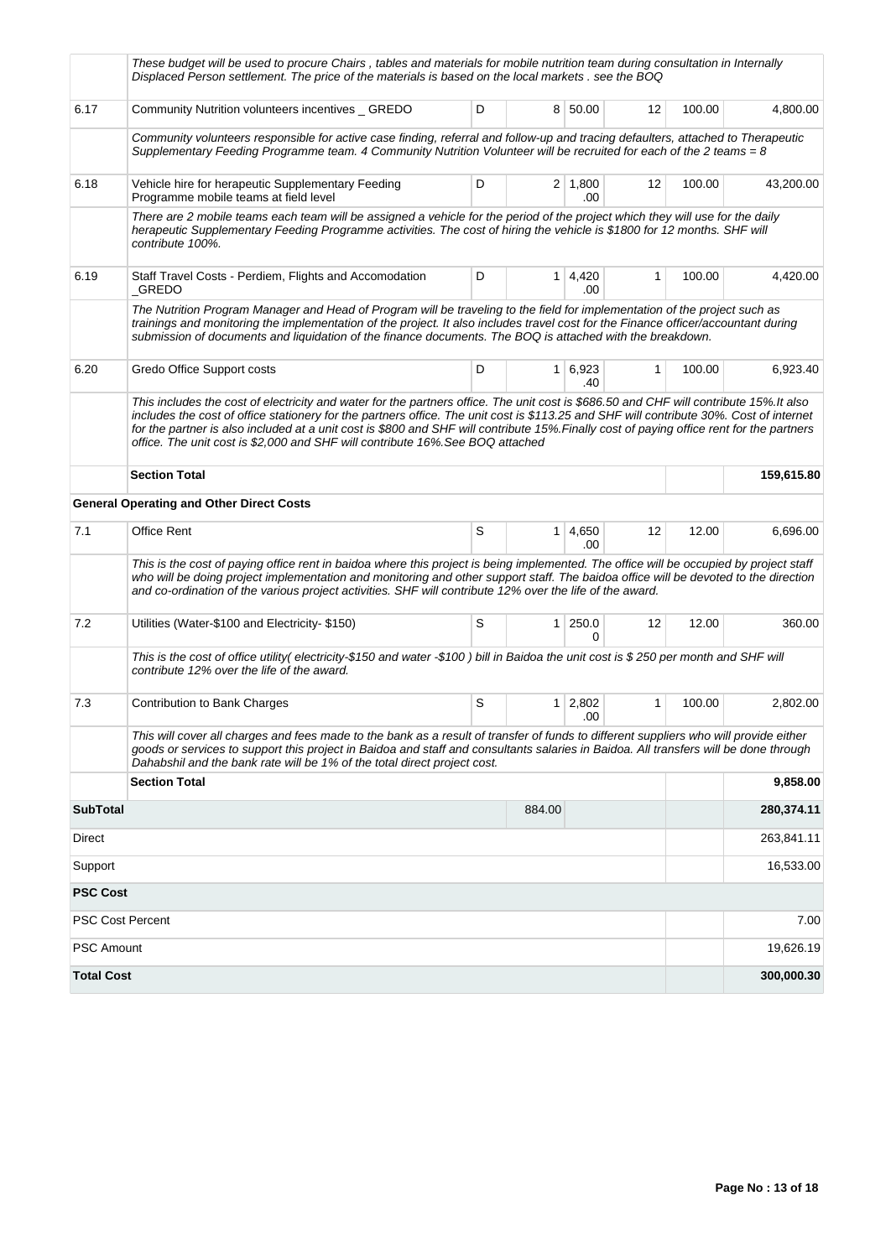|                         | These budget will be used to procure Chairs, tables and materials for mobile nutrition team during consultation in Internally<br>Displaced Person settlement. The price of the materials is based on the local markets . see the BOQ                                                                                                                                                                                                                                                                              |   |                |                       |                   |        |            |
|-------------------------|-------------------------------------------------------------------------------------------------------------------------------------------------------------------------------------------------------------------------------------------------------------------------------------------------------------------------------------------------------------------------------------------------------------------------------------------------------------------------------------------------------------------|---|----------------|-----------------------|-------------------|--------|------------|
| 6.17                    | Community Nutrition volunteers incentives _ GREDO                                                                                                                                                                                                                                                                                                                                                                                                                                                                 | D |                | 8 50.00               | 12                | 100.00 | 4,800.00   |
|                         | Community volunteers responsible for active case finding, referral and follow-up and tracing defaulters, attached to Therapeutic<br>Supplementary Feeding Programme team. 4 Community Nutrition Volunteer will be recruited for each of the 2 teams = $8$                                                                                                                                                                                                                                                         |   |                |                       |                   |        |            |
| 6.18                    | Vehicle hire for herapeutic Supplementary Feeding<br>Programme mobile teams at field level                                                                                                                                                                                                                                                                                                                                                                                                                        | D |                | $2 \mid 1,800$<br>.00 | 12                | 100.00 | 43,200.00  |
|                         | There are 2 mobile teams each team will be assigned a vehicle for the period of the project which they will use for the daily<br>herapeutic Supplementary Feeding Programme activities. The cost of hiring the vehicle is \$1800 for 12 months. SHF will<br>contribute 100%.                                                                                                                                                                                                                                      |   |                |                       |                   |        |            |
| 6.19                    | Staff Travel Costs - Perdiem, Flights and Accomodation<br>_GREDO                                                                                                                                                                                                                                                                                                                                                                                                                                                  | D |                | $1 \mid 4,420$<br>.00 | 1                 | 100.00 | 4,420.00   |
|                         | The Nutrition Program Manager and Head of Program will be traveling to the field for implementation of the project such as<br>trainings and monitoring the implementation of the project. It also includes travel cost for the Finance officer/accountant during<br>submission of documents and liquidation of the finance documents. The BOQ is attached with the breakdown.                                                                                                                                     |   |                |                       |                   |        |            |
| 6.20                    | Gredo Office Support costs                                                                                                                                                                                                                                                                                                                                                                                                                                                                                        | D |                | $1 \mid 6,923$<br>.40 | $\mathbf{1}$      | 100.00 | 6,923.40   |
|                         | This includes the cost of electricity and water for the partners office. The unit cost is \$686.50 and CHF will contribute 15%. It also<br>includes the cost of office stationery for the partners office. The unit cost is \$113.25 and SHF will contribute 30%. Cost of internet<br>for the partner is also included at a unit cost is \$800 and SHF will contribute 15%. Finally cost of paying office rent for the partners<br>office. The unit cost is \$2,000 and SHF will contribute 16%. See BOQ attached |   |                |                       |                   |        |            |
|                         | <b>Section Total</b>                                                                                                                                                                                                                                                                                                                                                                                                                                                                                              |   |                |                       |                   |        | 159,615.80 |
|                         | <b>General Operating and Other Direct Costs</b>                                                                                                                                                                                                                                                                                                                                                                                                                                                                   |   |                |                       |                   |        |            |
| 7.1                     | Office Rent                                                                                                                                                                                                                                                                                                                                                                                                                                                                                                       | S |                | $1 \mid 4,650$<br>.00 | 12                | 12.00  | 6,696.00   |
|                         | This is the cost of paying office rent in baidoa where this project is being implemented. The office will be occupied by project staff<br>who will be doing project implementation and monitoring and other support staff. The baidoa office will be devoted to the direction<br>and co-ordination of the various project activities. SHF will contribute 12% over the life of the award.                                                                                                                         |   |                |                       |                   |        |            |
| 7.2                     | Utilities (Water-\$100 and Electricity-\$150)                                                                                                                                                                                                                                                                                                                                                                                                                                                                     | S | 1 <sup>1</sup> | 250.0<br>$\Omega$     | $12 \overline{ }$ | 12.00  | 360.00     |
|                         | This is the cost of office utility(electricity-\$150 and water -\$100) bill in Baidoa the unit cost is \$250 per month and SHF will<br>contribute 12% over the life of the award.                                                                                                                                                                                                                                                                                                                                 |   |                |                       |                   |        |            |
| 7.3                     | Contribution to Bank Charges                                                                                                                                                                                                                                                                                                                                                                                                                                                                                      | S |                | $1 \mid 2,802$<br>.00 | 1                 | 100.00 | 2,802.00   |
|                         | This will cover all charges and fees made to the bank as a result of transfer of funds to different suppliers who will provide either<br>goods or services to support this project in Baidoa and staff and consultants salaries in Baidoa. All transfers will be done through<br>Dahabshil and the bank rate will be 1% of the total direct project cost.                                                                                                                                                         |   |                |                       |                   |        |            |
|                         | <b>Section Total</b>                                                                                                                                                                                                                                                                                                                                                                                                                                                                                              |   |                |                       |                   |        | 9,858.00   |
| <b>SubTotal</b>         |                                                                                                                                                                                                                                                                                                                                                                                                                                                                                                                   |   | 884.00         |                       |                   |        | 280,374.11 |
| Direct                  |                                                                                                                                                                                                                                                                                                                                                                                                                                                                                                                   |   |                |                       |                   |        | 263,841.11 |
| Support                 |                                                                                                                                                                                                                                                                                                                                                                                                                                                                                                                   |   |                |                       |                   |        | 16,533.00  |
| <b>PSC Cost</b>         |                                                                                                                                                                                                                                                                                                                                                                                                                                                                                                                   |   |                |                       |                   |        |            |
| <b>PSC Cost Percent</b> |                                                                                                                                                                                                                                                                                                                                                                                                                                                                                                                   |   |                |                       |                   |        | 7.00       |
| <b>PSC Amount</b>       |                                                                                                                                                                                                                                                                                                                                                                                                                                                                                                                   |   |                |                       |                   |        | 19,626.19  |
| <b>Total Cost</b>       |                                                                                                                                                                                                                                                                                                                                                                                                                                                                                                                   |   |                |                       |                   |        | 300,000.30 |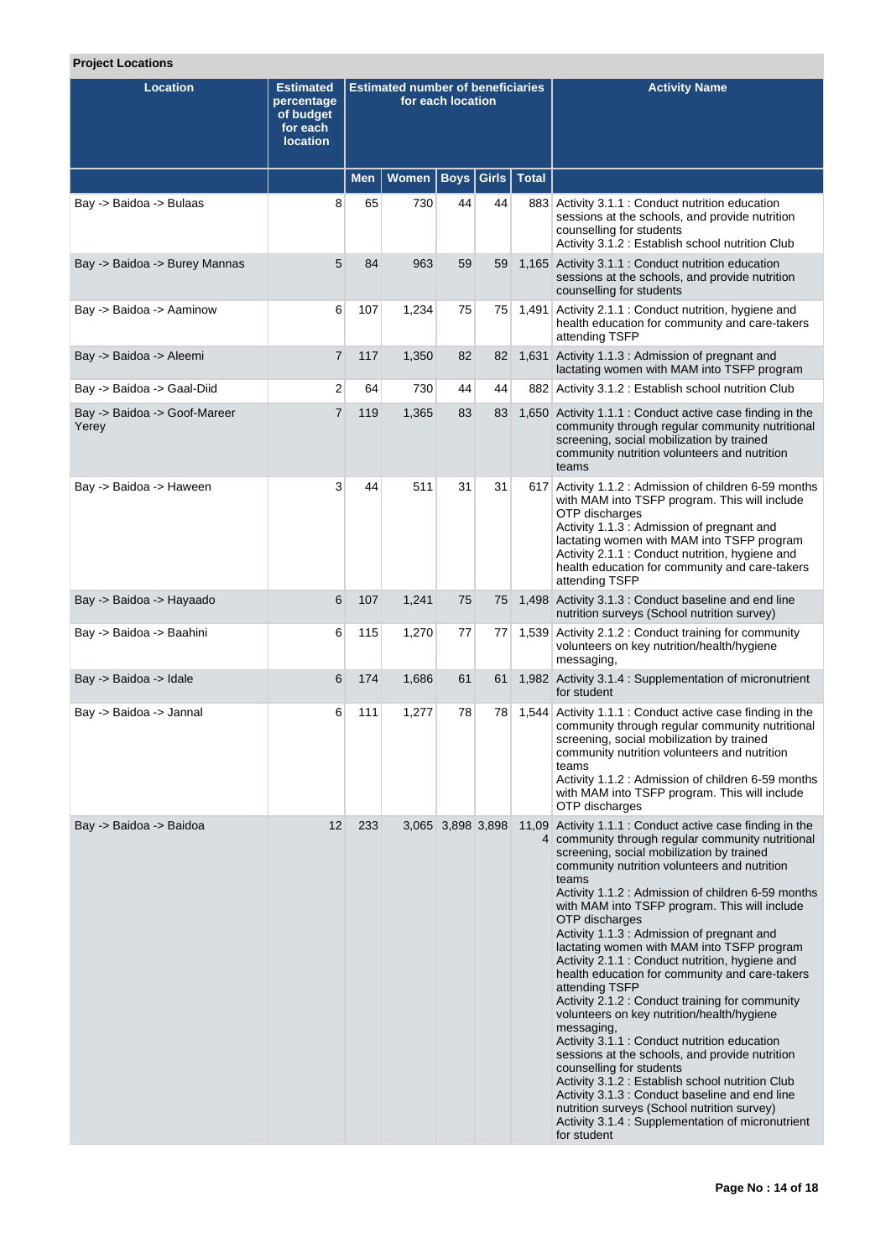## **Project Locations**

| <b>Location</b>                       | <b>Estimated</b><br>percentage<br>of budget<br>for each<br><b>location</b> | <b>Estimated number of beneficiaries</b><br>for each location |              |                   |       |              | <b>Activity Name</b>                                                                                                                                                                                                                                                                                                                                                                                                                                                                                                                                                                                                                                                                                                                                                                                                                                                                                                                                                                                                                   |
|---------------------------------------|----------------------------------------------------------------------------|---------------------------------------------------------------|--------------|-------------------|-------|--------------|----------------------------------------------------------------------------------------------------------------------------------------------------------------------------------------------------------------------------------------------------------------------------------------------------------------------------------------------------------------------------------------------------------------------------------------------------------------------------------------------------------------------------------------------------------------------------------------------------------------------------------------------------------------------------------------------------------------------------------------------------------------------------------------------------------------------------------------------------------------------------------------------------------------------------------------------------------------------------------------------------------------------------------------|
|                                       |                                                                            | <b>Men</b>                                                    | <b>Women</b> | <b>Boys</b>       | Girls | <b>Total</b> |                                                                                                                                                                                                                                                                                                                                                                                                                                                                                                                                                                                                                                                                                                                                                                                                                                                                                                                                                                                                                                        |
| Bay -> Baidoa -> Bulaas               | 8                                                                          | 65                                                            | 730          | 44                | 44    |              | 883 Activity 3.1.1 : Conduct nutrition education<br>sessions at the schools, and provide nutrition<br>counselling for students<br>Activity 3.1.2 : Establish school nutrition Club                                                                                                                                                                                                                                                                                                                                                                                                                                                                                                                                                                                                                                                                                                                                                                                                                                                     |
| Bay -> Baidoa -> Burey Mannas         | 5                                                                          | 84                                                            | 963          | 59                | 59    |              | 1,165 Activity 3.1.1 : Conduct nutrition education<br>sessions at the schools, and provide nutrition<br>counselling for students                                                                                                                                                                                                                                                                                                                                                                                                                                                                                                                                                                                                                                                                                                                                                                                                                                                                                                       |
| Bay -> Baidoa -> Aaminow              | 6                                                                          | 107                                                           | 1,234        | 75                | 75    | 1,491        | Activity 2.1.1 : Conduct nutrition, hygiene and<br>health education for community and care-takers<br>attending TSFP                                                                                                                                                                                                                                                                                                                                                                                                                                                                                                                                                                                                                                                                                                                                                                                                                                                                                                                    |
| Bay -> Baidoa -> Aleemi               | $\overline{7}$                                                             | 117                                                           | 1,350        | 82                | 82    |              | 1,631 Activity 1.1.3 : Admission of pregnant and<br>lactating women with MAM into TSFP program                                                                                                                                                                                                                                                                                                                                                                                                                                                                                                                                                                                                                                                                                                                                                                                                                                                                                                                                         |
| Bay -> Baidoa -> Gaal-Diid            | 2                                                                          | 64                                                            | 730          | 44                | 44    |              | 882 Activity 3.1.2 : Establish school nutrition Club                                                                                                                                                                                                                                                                                                                                                                                                                                                                                                                                                                                                                                                                                                                                                                                                                                                                                                                                                                                   |
| Bay -> Baidoa -> Goof-Mareer<br>Yerey | $\overline{7}$                                                             | 119                                                           | 1,365        | 83                | 83    |              | 1,650 Activity 1.1.1 : Conduct active case finding in the<br>community through regular community nutritional<br>screening, social mobilization by trained<br>community nutrition volunteers and nutrition<br>teams                                                                                                                                                                                                                                                                                                                                                                                                                                                                                                                                                                                                                                                                                                                                                                                                                     |
| Bay -> Baidoa -> Haween               | 3                                                                          | 44                                                            | 511          | 31                | 31    | 617          | Activity 1.1.2 : Admission of children 6-59 months<br>with MAM into TSFP program. This will include<br>OTP discharges<br>Activity 1.1.3 : Admission of pregnant and<br>lactating women with MAM into TSFP program<br>Activity 2.1.1 : Conduct nutrition, hygiene and<br>health education for community and care-takers<br>attending TSFP                                                                                                                                                                                                                                                                                                                                                                                                                                                                                                                                                                                                                                                                                               |
| Bay -> Baidoa -> Hayaado              | 6                                                                          | 107                                                           | 1,241        | 75                | 75    |              | 1,498 Activity 3.1.3 : Conduct baseline and end line<br>nutrition surveys (School nutrition survey)                                                                                                                                                                                                                                                                                                                                                                                                                                                                                                                                                                                                                                                                                                                                                                                                                                                                                                                                    |
| Bay -> Baidoa -> Baahini              | 6                                                                          | 115                                                           | 1,270        | 77                | 77    | 1,539        | Activity 2.1.2 : Conduct training for community<br>volunteers on key nutrition/health/hygiene<br>messaging,                                                                                                                                                                                                                                                                                                                                                                                                                                                                                                                                                                                                                                                                                                                                                                                                                                                                                                                            |
| Bay -> Baidoa -> Idale                | 6                                                                          | 174                                                           | 1,686        | 61                | 61    |              | 1,982 Activity 3.1.4 : Supplementation of micronutrient<br>for student                                                                                                                                                                                                                                                                                                                                                                                                                                                                                                                                                                                                                                                                                                                                                                                                                                                                                                                                                                 |
| Bay -> Baidoa -> Jannal               | 6                                                                          | 111                                                           | 1,277        | 78                | 78    | 1,544        | Activity 1.1.1 : Conduct active case finding in the<br>community through regular community nutritional<br>screening, social mobilization by trained<br>community nutrition volunteers and nutrition<br>teams<br>Activity 1.1.2 : Admission of children 6-59 months<br>with MAM into TSFP program. This will include<br>OTP discharges                                                                                                                                                                                                                                                                                                                                                                                                                                                                                                                                                                                                                                                                                                  |
| Bay -> Baidoa -> Baidoa               | 12                                                                         | 233                                                           |              | 3,065 3,898 3,898 |       |              | 11,09 Activity 1.1.1 : Conduct active case finding in the<br>4 community through regular community nutritional<br>screening, social mobilization by trained<br>community nutrition volunteers and nutrition<br>teams<br>Activity 1.1.2 : Admission of children 6-59 months<br>with MAM into TSFP program. This will include<br>OTP discharges<br>Activity 1.1.3 : Admission of pregnant and<br>lactating women with MAM into TSFP program<br>Activity 2.1.1 : Conduct nutrition, hygiene and<br>health education for community and care-takers<br>attending TSFP<br>Activity 2.1.2 : Conduct training for community<br>volunteers on key nutrition/health/hygiene<br>messaging,<br>Activity 3.1.1 : Conduct nutrition education<br>sessions at the schools, and provide nutrition<br>counselling for students<br>Activity 3.1.2 : Establish school nutrition Club<br>Activity 3.1.3 : Conduct baseline and end line<br>nutrition surveys (School nutrition survey)<br>Activity 3.1.4 : Supplementation of micronutrient<br>for student |